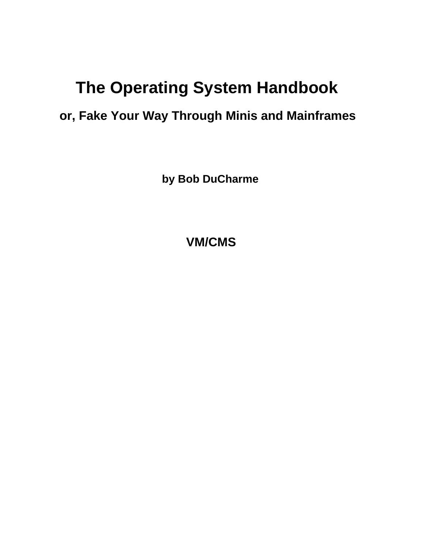# **The Operating System Handbook**

## **or, Fake Your Way Through Minis and Mainframes**

**by Bob DuCharme**

**VM/CMS**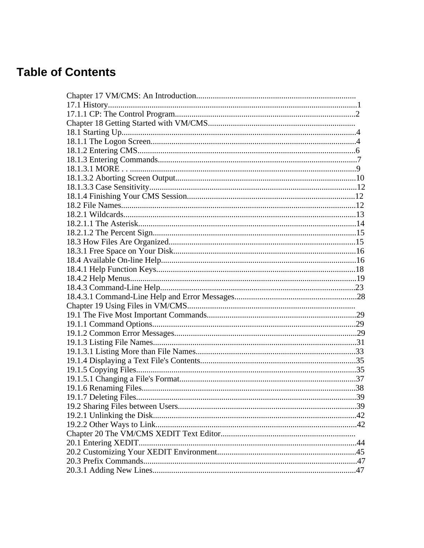## **Table of Contents**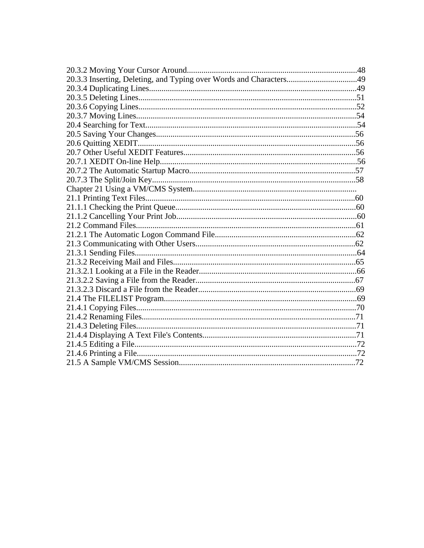| 20.3.3 Inserting, Deleting, and Typing over Words and Characters49 |  |
|--------------------------------------------------------------------|--|
|                                                                    |  |
|                                                                    |  |
|                                                                    |  |
|                                                                    |  |
|                                                                    |  |
|                                                                    |  |
|                                                                    |  |
|                                                                    |  |
|                                                                    |  |
|                                                                    |  |
|                                                                    |  |
|                                                                    |  |
|                                                                    |  |
|                                                                    |  |
|                                                                    |  |
|                                                                    |  |
|                                                                    |  |
|                                                                    |  |
|                                                                    |  |
|                                                                    |  |
|                                                                    |  |
|                                                                    |  |
|                                                                    |  |
|                                                                    |  |
|                                                                    |  |
|                                                                    |  |
|                                                                    |  |
|                                                                    |  |
|                                                                    |  |
|                                                                    |  |
|                                                                    |  |
|                                                                    |  |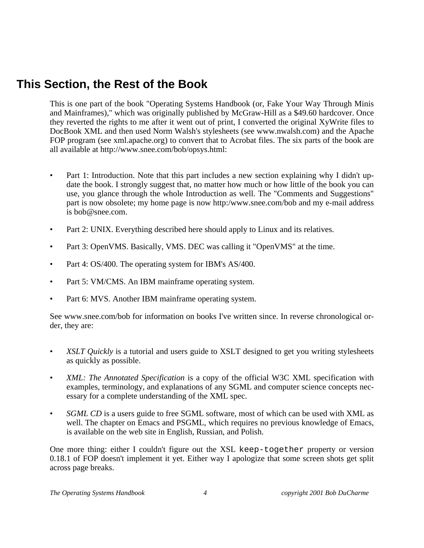## **This Section, the Rest of the Book**

This is one part of the book "Operating Systems Handbook (or, Fake Your Way Through Minis and Mainframes)," which was originally published by McGraw-Hill as a \$49.60 hardcover. Once they reverted the rights to me after it went out of print, I converted the original XyWrite files to DocBook XML and then used Norm Walsh's stylesheets (see www.nwalsh.com) and the Apache FOP program (see xml.apache.org) to convert that to Acrobat files. The six parts of the book are all available at http://www.snee.com/bob/opsys.html:

- Part 1: Introduction. Note that this part includes a new section explaining why I didn't update the book. I strongly suggest that, no matter how much or how little of the book you can use, you glance through the whole Introduction as well. The "Comments and Suggestions" part is now obsolete; my home page is now http:/www.snee.com/bob and my e-mail address is bob@snee.com.
- Part 2: UNIX. Everything described here should apply to Linux and its relatives.
- Part 3: OpenVMS. Basically, VMS. DEC was calling it "OpenVMS" at the time.
- Part 4: OS/400. The operating system for IBM's AS/400.
- Part 5: VM/CMS. An IBM mainframe operating system.
- Part 6: MVS. Another IBM mainframe operating system.

See www.snee.com/bob for information on books I've written since. In reverse chronological order, they are:

- *XSLT Quickly* is a tutorial and users guide to XSLT designed to get you writing stylesheets as quickly as possible.
- *XML: The Annotated Specification* is a copy of the official W3C XML specification with examples, terminology, and explanations of any SGML and computer science concepts necessary for a complete understanding of the XML spec.
- *SGML CD* is a users guide to free SGML software, most of which can be used with XML as well. The chapter on Emacs and PSGML, which requires no previous knowledge of Emacs, is available on the web site in English, Russian, and Polish.

One more thing: either I couldn't figure out the XSL keep-together property or version 0.18.1 of FOP doesn't implement it yet. Either way I apologize that some screen shots get split across page breaks.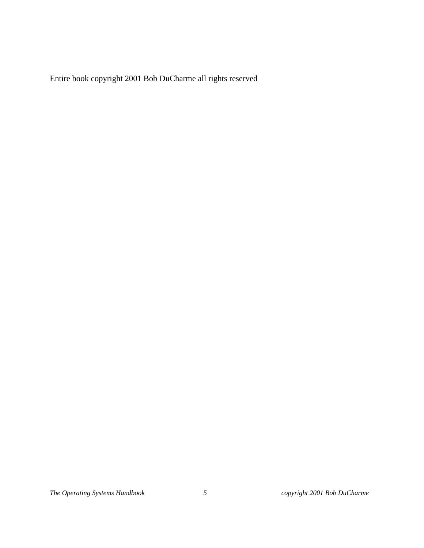Entire book copyright 2001 Bob DuCharme all rights reserved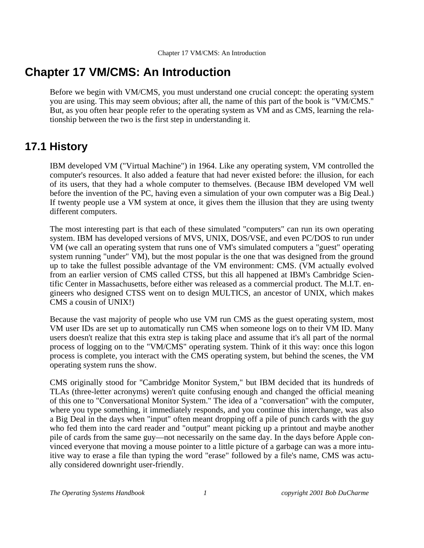## **Chapter 17 VM/CMS: An Introduction**

Before we begin with VM/CMS, you must understand one crucial concept: the operating system you are using. This may seem obvious; after all, the name of this part of the book is "VM/CMS." But, as you often hear people refer to the operating system as VM and as CMS, learning the relationship between the two is the first step in understanding it.

## **17.1 History**

IBM developed VM ("Virtual Machine") in 1964. Like any operating system, VM controlled the computer's resources. It also added a feature that had never existed before: the illusion, for each of its users, that they had a whole computer to themselves. (Because IBM developed VM well before the invention of the PC, having even a simulation of your own computer was a Big Deal.) If twenty people use a VM system at once, it gives them the illusion that they are using twenty different computers.

The most interesting part is that each of these simulated "computers" can run its own operating system. IBM has developed versions of MVS, UNIX, DOS/VSE, and even PC/DOS to run under VM (we call an operating system that runs one of VM's simulated computers a "guest" operating system running "under" VM), but the most popular is the one that was designed from the ground up to take the fullest possible advantage of the VM environment: CMS. (VM actually evolved from an earlier version of CMS called CTSS, but this all happened at IBM's Cambridge Scientific Center in Massachusetts, before either was released as a commercial product. The M.I.T. engineers who designed CTSS went on to design MULTICS, an ancestor of UNIX, which makes CMS a cousin of UNIX!)

Because the vast majority of people who use VM run CMS as the guest operating system, most VM user IDs are set up to automatically run CMS when someone logs on to their VM ID. Many users doesn't realize that this extra step is taking place and assume that it's all part of the normal process of logging on to the "VM/CMS" operating system. Think of it this way: once this logon process is complete, you interact with the CMS operating system, but behind the scenes, the VM operating system runs the show.

CMS originally stood for "Cambridge Monitor System," but IBM decided that its hundreds of TLAs (three-letter acronyms) weren't quite confusing enough and changed the official meaning of this one to "Conversational Monitor System." The idea of a "conversation" with the computer, where you type something, it immediately responds, and you continue this interchange, was also a Big Deal in the days when "input" often meant dropping off a pile of punch cards with the guy who fed them into the card reader and "output" meant picking up a printout and maybe another pile of cards from the same guy—not necessarily on the same day. In the days before Apple convinced everyone that moving a mouse pointer to a little picture of a garbage can was a more intuitive way to erase a file than typing the word "erase" followed by a file's name, CMS was actually considered downright user-friendly.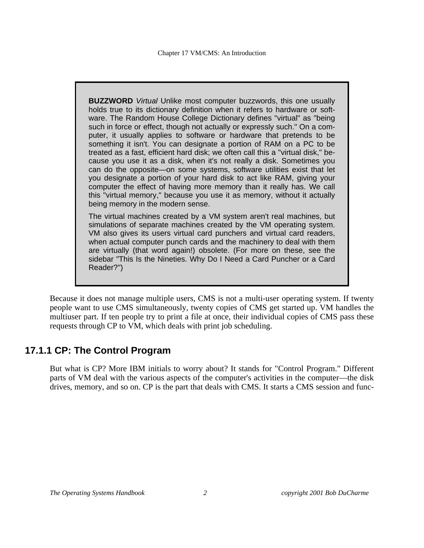**BUZZWORD** Virtual Unlike most computer buzzwords, this one usually holds true to its dictionary definition when it refers to hardware or software. The Random House College Dictionary defines "virtual" as "being such in force or effect, though not actually or expressly such." On a computer, it usually applies to software or hardware that pretends to be something it isn't. You can designate a portion of RAM on a PC to be treated as a fast, efficient hard disk; we often call this a "virtual disk," because you use it as a disk, when it's not really a disk. Sometimes you can do the opposite—on some systems, software utilities exist that let you designate a portion of your hard disk to act like RAM, giving your computer the effect of having more memory than it really has. We call this "virtual memory," because you use it as memory, without it actually being memory in the modern sense.

The virtual machines created by a VM system aren't real machines, but simulations of separate machines created by the VM operating system. VM also gives its users virtual card punchers and virtual card readers, when actual computer punch cards and the machinery to deal with them are virtually (that word again!) obsolete. (For more on these, see the sidebar "This Is the Nineties. Why Do I Need a Card Puncher or a Card Reader?")

Because it does not manage multiple users, CMS is not a multi-user operating system. If twenty people want to use CMS simultaneously, twenty copies of CMS get started up. VM handles the multiuser part. If ten people try to print a file at once, their individual copies of CMS pass these requests through CP to VM, which deals with print job scheduling.

## **17.1.1 CP: The Control Program**

But what is CP? More IBM initials to worry about? It stands for "Control Program." Different parts of VM deal with the various aspects of the computer's activities in the computer—the disk drives, memory, and so on. CP is the part that deals with CMS. It starts a CMS session and func-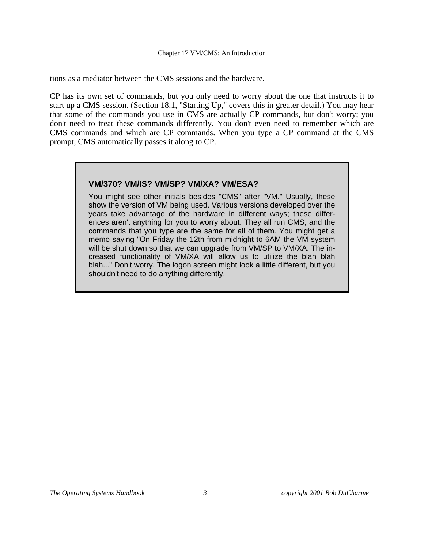#### Chapter 17 VM/CMS: An Introduction

tions as a mediator between the CMS sessions and the hardware.

CP has its own set of commands, but you only need to worry about the one that instructs it to start up a CMS session. (Section 18.1, "Starting Up," covers this in greater detail.) You may hear that some of the commands you use in CMS are actually CP commands, but don't worry; you don't need to treat these commands differently. You don't even need to remember which are CMS commands and which are CP commands. When you type a CP command at the CMS prompt, CMS automatically passes it along to CP.

#### **VM/370? VM/IS? VM/SP? VM/XA? VM/ESA?**

You might see other initials besides "CMS" after "VM." Usually, these show the version of VM being used. Various versions developed over the years take advantage of the hardware in different ways; these differences aren't anything for you to worry about. They all run CMS, and the commands that you type are the same for all of them. You might get a memo saying "On Friday the 12th from midnight to 6AM the VM system will be shut down so that we can upgrade from VM/SP to VM/XA. The increased functionality of VM/XA will allow us to utilize the blah blah blah..." Don't worry. The logon screen might look a little different, but you shouldn't need to do anything differently.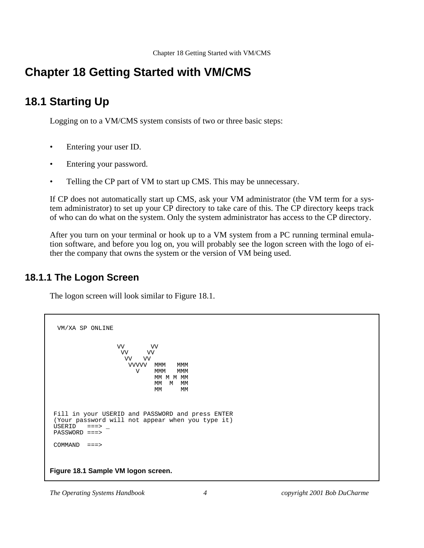## **Chapter 18 Getting Started with VM/CMS**

## **18.1 Starting Up**

Logging on to a VM/CMS system consists of two or three basic steps:

- Entering your user ID.
- Entering your password.
- Telling the CP part of VM to start up CMS. This may be unnecessary.

If CP does not automatically start up CMS, ask your VM administrator (the VM term for a system administrator) to set up your CP directory to take care of this. The CP directory keeps track of who can do what on the system. Only the system administrator has access to the CP directory.

After you turn on your terminal or hook up to a VM system from a PC running terminal emulation software, and before you log on, you will probably see the logon screen with the logo of either the company that owns the system or the version of VM being used.

### **18.1.1 The Logon Screen**

The logon screen will look similar to Figure 18.1.

```
 VM/XA SP ONLINE
 VV VV
 VV VV
 VV VV
               VVVVV MMM MMM
 V MMM MMM
                   MM M M MM
                    MM M MM
 MM MM
Fill in your USERID and PASSWORD and press ENTER
(Your password will not appear when you type it)
USERID ===>
PASSWORD ===>
COMMAND ===>
Figure 18.1 Sample VM logon screen.
```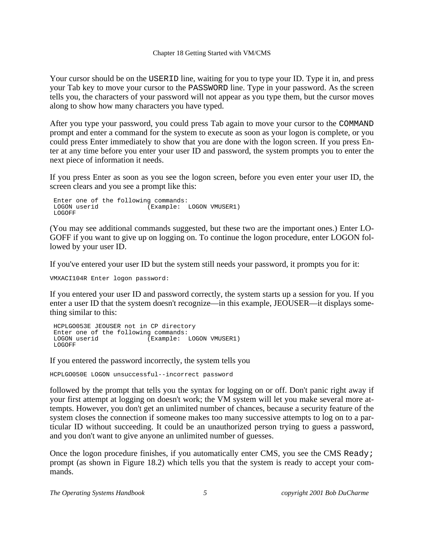Your cursor should be on the USERID line, waiting for you to type your ID. Type it in, and press your Tab key to move your cursor to the PASSWORD line. Type in your password. As the screen tells you, the characters of your password will not appear as you type them, but the cursor moves along to show how many characters you have typed.

After you type your password, you could press Tab again to move your cursor to the COMMAND prompt and enter a command for the system to execute as soon as your logon is complete, or you could press Enter immediately to show that you are done with the logon screen. If you press Enter at any time before you enter your user ID and password, the system prompts you to enter the next piece of information it needs.

If you press Enter as soon as you see the logon screen, before you even enter your user ID, the screen clears and you see a prompt like this:

```
Enter one of the following commands:<br>LOGON userid (Example:
                                  (Example: LOGON VMUSER1)
LOGOFF
```
(You may see additional commands suggested, but these two are the important ones.) Enter LO-GOFF if you want to give up on logging on. To continue the logon procedure, enter LOGON followed by your user ID.

If you've entered your user ID but the system still needs your password, it prompts you for it:

VMXACI104R Enter logon password:

If you entered your user ID and password correctly, the system starts up a session for you. If you enter a user ID that the system doesn't recognize—in this example, JEOUSER—it displays something similar to this:

```
HCPLGO053E JEOUSER not in CP directory
Enter one of the following commands:<br>LOGON userid (Example: )
                               (Example: LOGON VMUSER1)
LOGOFF
```
If you entered the password incorrectly, the system tells you

HCPLGO050E LOGON unsuccessful--incorrect password

followed by the prompt that tells you the syntax for logging on or off. Don't panic right away if your first attempt at logging on doesn't work; the VM system will let you make several more attempts. However, you don't get an unlimited number of chances, because a security feature of the system closes the connection if someone makes too many successive attempts to log on to a particular ID without succeeding. It could be an unauthorized person trying to guess a password, and you don't want to give anyone an unlimited number of guesses.

Once the logon procedure finishes, if you automatically enter CMS, you see the CMS Ready; prompt (as shown in Figure 18.2) which tells you that the system is ready to accept your commands.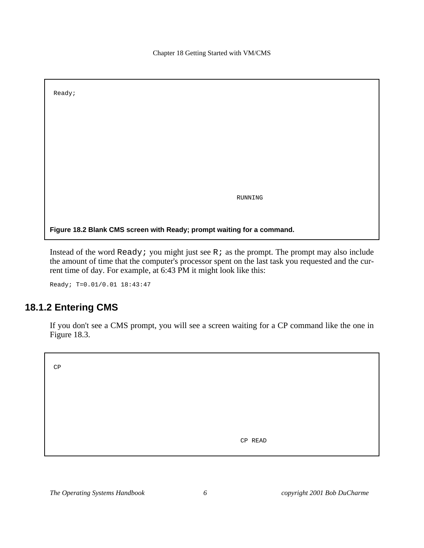

Instead of the word Ready; you might just see R; as the prompt. The prompt may also include the amount of time that the computer's processor spent on the last task you requested and the current time of day. For example, at 6:43 PM it might look like this:

Ready; T=0.01/0.01 18:43:47

## **18.1.2 Entering CMS**

If you don't see a CMS prompt, you will see a screen waiting for a CP command like the one in Figure 18.3.

CP

CP READ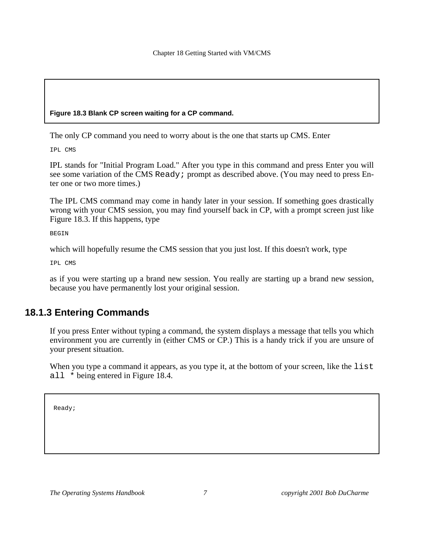#### **Figure 18.3 Blank CP screen waiting for a CP command.**

The only CP command you need to worry about is the one that starts up CMS. Enter

IPL CMS

IPL stands for "Initial Program Load." After you type in this command and press Enter you will see some variation of the CMS Ready; prompt as described above. (You may need to press Enter one or two more times.)

The IPL CMS command may come in handy later in your session. If something goes drastically wrong with your CMS session, you may find yourself back in CP, with a prompt screen just like Figure 18.3. If this happens, type

BEGIN

which will hopefully resume the CMS session that you just lost. If this doesn't work, type

IPL CMS

as if you were starting up a brand new session. You really are starting up a brand new session, because you have permanently lost your original session.

## **18.1.3 Entering Commands**

If you press Enter without typing a command, the system displays a message that tells you which environment you are currently in (either CMS or CP.) This is a handy trick if you are unsure of your present situation.

When you type a command it appears, as you type it, at the bottom of your screen, like the list all \* being entered in Figure 18.4.

Ready;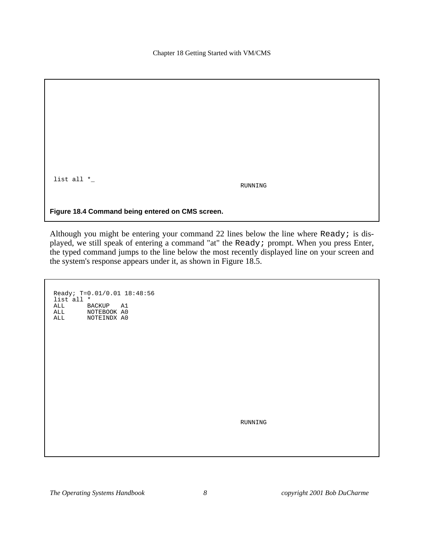list all \*\_

RUNNING

**Figure 18.4 Command being entered on CMS screen.**

Although you might be entering your command 22 lines below the line where  $\text{Ready}:$  is displayed, we still speak of entering a command "at" the Ready; prompt. When you press Enter, the typed command jumps to the line below the most recently displayed line on your screen and the system's response appears under it, as shown in Figure 18.5.

Ready; T=0.01/0.01 18:48:56 list all \* ALL BACKUP A1 ALL NOTEBOOK A0 ALL NOTEINDX A0 RUNNING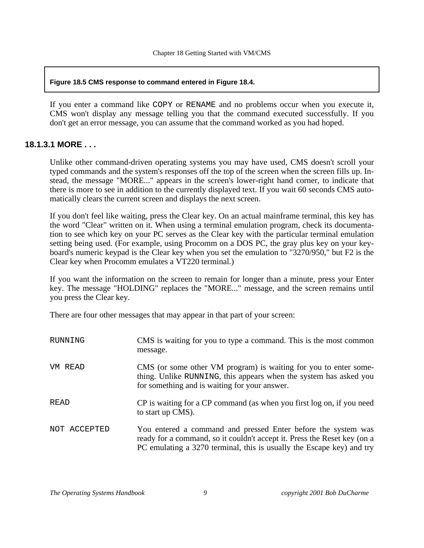#### **Figure 18.5 CMS response to command entered in Figure 18.4.**

If you enter a command like COPY or RENAME and no problems occur when you execute it, CMS won't display any message telling you that the command executed successfully. If you don't get an error message, you can assume that the command worked as you had hoped.

### **18.1.3.1 MORE . . .**

Unlike other command-driven operating systems you may have used, CMS doesn't scroll your typed commands and the system's responses off the top of the screen when the screen fills up. Instead, the message "MORE..." appears in the screen's lower-right hand corner, to indicate that there is more to see in addition to the currently displayed text. If you wait 60 seconds CMS automatically clears the current screen and displays the next screen.

If you don't feel like waiting, press the Clear key. On an actual mainframe terminal, this key has the word "Clear" written on it. When using a terminal emulation program, check its documentation to see which key on your PC serves as the Clear key with the particular terminal emulation setting being used. (For example, using Procomm on a DOS PC, the gray plus key on your keyboard's numeric keypad is the Clear key when you set the emulation to "3270/950," but F2 is the Clear key when Procomm emulates a VT220 terminal.)

If you want the information on the screen to remain for longer than a minute, press your Enter key. The message "HOLDING" replaces the "MORE..." message, and the screen remains until you press the Clear key.

There are four other messages that may appear in that part of your screen:

| RUNNING      | CMS is waiting for you to type a command. This is the most common<br>message.                                                                                                                                      |
|--------------|--------------------------------------------------------------------------------------------------------------------------------------------------------------------------------------------------------------------|
| VM READ      | CMS (or some other VM program) is waiting for you to enter some-<br>thing. Unlike RUNNING, this appears when the system has asked you<br>for something and is waiting for your answer.                             |
| READ         | CP is waiting for a CP command (as when you first log on, if you need<br>to start up CMS).                                                                                                                         |
| NOT ACCEPTED | You entered a command and pressed Enter before the system was<br>ready for a command, so it couldn't accept it. Press the Reset key (on a<br>PC emulating a 3270 terminal, this is usually the Escape key) and try |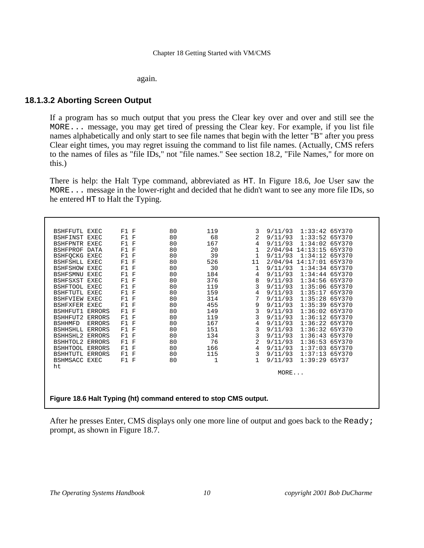#### Chapter 18 Getting Started with VM/CMS

again.

#### **18.1.3.2 Aborting Screen Output**

If a program has so much output that you press the Clear key over and over and still see the MORE... message, you may get tired of pressing the Clear key. For example, if you list file names alphabetically and only start to see file names that begin with the letter "B" after you press Clear eight times, you may regret issuing the command to list file names. (Actually, CMS refers to the names of files as "file IDs," not "file names." See section 18.2, "File Names," for more on this.)

There is help: the Halt Type command, abbreviated as HT. In Figure 18.6, Joe User saw the MORE... message in the lower-right and decided that he didn't want to see any more file IDs, so he entered HT to Halt the Typing.

| BSHFFUTL EXEC                                                    |               | F1 | $\mathbf F$        | 80 | 119 | 3            | 9/11/93 | $1:33:42$ 65Y370   |        |  |
|------------------------------------------------------------------|---------------|----|--------------------|----|-----|--------------|---------|--------------------|--------|--|
| <b>BSHFINST</b>                                                  | EXEC          | F1 | $_{\rm F}$         | 80 | 68  | 2            | 9/11/93 | 1:33:52 65Y370     |        |  |
| BSHFPNTR EXEC                                                    |               | F1 | $_{\rm F}$         | 80 | 167 | 4            | 9/11/93 | $1:34:02$ 65Y370   |        |  |
| <b>BSHFPROF</b>                                                  | DATA          | F1 | $_{\rm F}$         | 80 | 20  | 1            |         | $2/04/94$ 14:13:15 | 65Y370 |  |
| BSHFQCKG EXEC                                                    |               | F1 | $\rm F$            | 80 | 39  | 1            | 9/11/93 | 1:34:12            | 65Y370 |  |
| BSHFSHLL EXEC                                                    |               | F1 | $\mathbf{F}% _{0}$ | 80 | 526 | 11           | 2/04/94 | 14:17:01 65Y370    |        |  |
| <b>BSHFSHOW EXEC</b>                                             |               | F1 | $_{\rm F}$         | 80 | 30  | 1            | 9/11/93 | 1:34:34 65Y370     |        |  |
| BSHFSMNU                                                         | EXEC          | F1 | $_{\rm F}$         | 80 | 184 | 4            | 9/11/93 | $1:34:44$ 65Y370   |        |  |
| <b>BSHFSXST EXEC</b>                                             |               | F1 | $\mathbf{F}% _{0}$ | 80 | 376 | 8            | 9/11/93 | 1:34:56            | 65Y370 |  |
| BSHFTOOL EXEC                                                    |               | F1 | $_{\rm F}$         | 80 | 119 | 3            | 9/11/93 | 1:35:06 65Y370     |        |  |
| BSHFTUTL EXEC                                                    |               | F1 | $_{\rm F}$         | 80 | 159 | 4            | 9/11/93 | 1:35:17            | 65Y370 |  |
| <b>BSHFVIEW</b>                                                  | <b>EXEC</b>   | F1 | $\mathbf{F}% _{0}$ | 80 | 314 | 7            | 9/11/93 | 1:35:28 65Y370     |        |  |
| <b>BSHFXFER</b>                                                  | <b>EXEC</b>   | F1 | $\rm F$            | 80 | 455 | 9            | 9/11/93 | 1:35:39            | 65Y370 |  |
| BSHHFUT1                                                         | <b>ERRORS</b> | F1 | $_{\rm F}$         | 80 | 149 | 3            | 9/11/93 | 1:36:02 65Y370     |        |  |
| BSHHFUT2                                                         | <b>ERRORS</b> | F1 | $\rm F$            | 80 | 119 | 3            | 9/11/93 | 1:36:12 65Y370     |        |  |
| <b>BSHHMFD</b>                                                   | <b>ERRORS</b> | F1 | $_{\rm F}$         | 80 | 167 | 4            | 9/11/93 | 1:36:22 65Y370     |        |  |
| <b>BSHHSHLL</b>                                                  | <b>ERRORS</b> | F1 | $_{\rm F}$         | 80 | 151 | 3            | 9/11/93 | 1:36:32 65Y370     |        |  |
| BSHHSHL2                                                         | <b>ERRORS</b> | F1 | $_{\rm F}$         | 80 | 134 | 3            | 9/11/93 | 1:36:43 65Y370     |        |  |
| BSHHTOL2                                                         | <b>ERRORS</b> | F1 | $\mathbf F$        | 80 | 76  | 2            | 9/11/93 | 1:36:53            | 65Y370 |  |
| <b>BSHHTOOL</b>                                                  | <b>ERRORS</b> | F1 | $_{\rm F}$         | 80 | 166 | 4            | 9/11/93 | 1:37:03            | 65Y370 |  |
| <b>BSHHTUTL</b>                                                  | <b>ERRORS</b> | F1 | $_{\rm F}$         | 80 | 115 | 3            | 9/11/93 | 1:37:13            | 65Y370 |  |
| BSHMSACC EXEC                                                    |               | F1 | F                  | 80 | 1   | $\mathbf{1}$ | 9/11/93 | $1:39:29$ 65Y37    |        |  |
| ht                                                               |               |    |                    |    |     |              |         |                    |        |  |
|                                                                  |               |    |                    |    |     |              | MORE    |                    |        |  |
|                                                                  |               |    |                    |    |     |              |         |                    |        |  |
|                                                                  |               |    |                    |    |     |              |         |                    |        |  |
|                                                                  |               |    |                    |    |     |              |         |                    |        |  |
|                                                                  |               |    |                    |    |     |              |         |                    |        |  |
| Figure 18.6 Halt Typing (ht) command entered to stop CMS output. |               |    |                    |    |     |              |         |                    |        |  |

After he presses Enter, CMS displays only one more line of output and goes back to the Ready; prompt, as shown in Figure 18.7.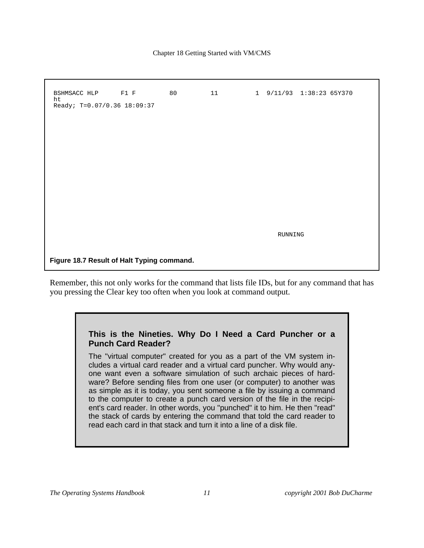| BSHMSACC HLP F1 F<br>ht<br>Ready; T=0.07/0.36 18:09:37 | 80 | 11 | 1 9/11/93 1:38:23 65Y370 |  |
|--------------------------------------------------------|----|----|--------------------------|--|
|                                                        |    |    |                          |  |
|                                                        |    |    |                          |  |
|                                                        |    |    |                          |  |
|                                                        |    |    | RUNNING                  |  |
| Figure 18.7 Result of Halt Typing command.             |    |    |                          |  |

Remember, this not only works for the command that lists file IDs, but for any command that has you pressing the Clear key too often when you look at command output.

### **This is the Nineties. Why Do I Need a Card Puncher or a Punch Card Reader?**

The "virtual computer" created for you as a part of the VM system includes a virtual card reader and a virtual card puncher. Why would anyone want even a software simulation of such archaic pieces of hardware? Before sending files from one user (or computer) to another was as simple as it is today, you sent someone a file by issuing a command to the computer to create a punch card version of the file in the recipient's card reader. In other words, you "punched" it to him. He then "read" the stack of cards by entering the command that told the card reader to read each card in that stack and turn it into a line of a disk file.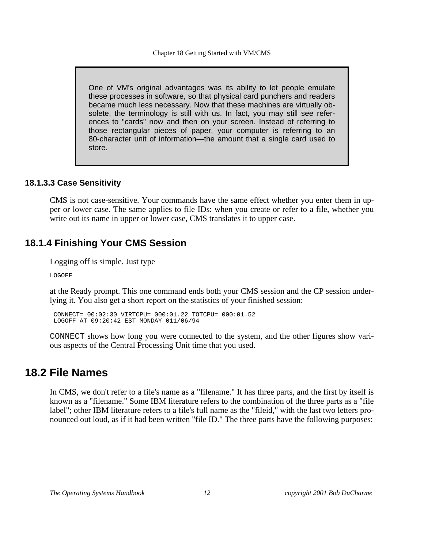One of VM's original advantages was its ability to let people emulate these processes in software, so that physical card punchers and readers became much less necessary. Now that these machines are virtually obsolete, the terminology is still with us. In fact, you may still see references to "cards" now and then on your screen. Instead of referring to those rectangular pieces of paper, your computer is referring to an 80-character unit of information—the amount that a single card used to store.

#### **18.1.3.3 Case Sensitivity**

CMS is not case-sensitive. Your commands have the same effect whether you enter them in upper or lower case. The same applies to file IDs: when you create or refer to a file, whether you write out its name in upper or lower case, CMS translates it to upper case.

### **18.1.4 Finishing Your CMS Session**

Logging off is simple. Just type

LOGOFF

at the Ready prompt. This one command ends both your CMS session and the CP session underlying it. You also get a short report on the statistics of your finished session:

CONNECT= 00:02:30 VIRTCPU= 000:01.22 TOTCPU= 000:01.52 LOGOFF AT 09:20:42 EST MONDAY 011/06/94

CONNECT shows how long you were connected to the system, and the other figures show various aspects of the Central Processing Unit time that you used.

## **18.2 File Names**

In CMS, we don't refer to a file's name as a "filename." It has three parts, and the first by itself is known as a "filename." Some IBM literature refers to the combination of the three parts as a "file label"; other IBM literature refers to a file's full name as the "fileid," with the last two letters pronounced out loud, as if it had been written "file ID." The three parts have the following purposes: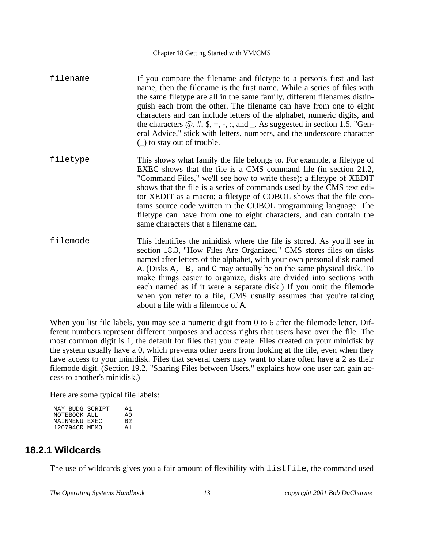| filename | If you compare the filename and filetype to a person's first and last<br>name, then the filename is the first name. While a series of files with |
|----------|--------------------------------------------------------------------------------------------------------------------------------------------------|
|          | the same filetype are all in the same family, different filenames distin-                                                                        |
|          | guish each from the other. The filename can have from one to eight                                                                               |
|          | characters and can include letters of the alphabet, numeric digits, and                                                                          |
|          | the characters $\omega$ , #, \$, +, -, :, and $\Delta$ . As suggested in section 1.5, "Gen-                                                      |
|          | eral Advice," stick with letters, numbers, and the underscore character                                                                          |
|          | $\Box$ to stay out of trouble.                                                                                                                   |
|          |                                                                                                                                                  |

- filetype This shows what family the file belongs to. For example, a filetype of EXEC shows that the file is a CMS command file (in section 21.2, "Command Files," we'll see how to write these); a filetype of XEDIT shows that the file is a series of commands used by the CMS text editor XEDIT as a macro; a filetype of COBOL shows that the file contains source code written in the COBOL programming language. The filetype can have from one to eight characters, and can contain the same characters that a filename can.
- filemode This identifies the minidisk where the file is stored. As you'll see in section 18.3, "How Files Are Organized," CMS stores files on disks named after letters of the alphabet, with your own personal disk named A. (Disks A, B, and C may actually be on the same physical disk. To make things easier to organize, disks are divided into sections with each named as if it were a separate disk.) If you omit the filemode when you refer to a file, CMS usually assumes that you're talking about a file with a filemode of A.

When you list file labels, you may see a numeric digit from 0 to 6 after the filemode letter. Different numbers represent different purposes and access rights that users have over the file. The most common digit is 1, the default for files that you create. Files created on your minidisk by the system usually have a 0, which prevents other users from looking at the file, even when they have access to your minidisk. Files that several users may want to share often have a 2 as their filemode digit. (Section 19.2, "Sharing Files between Users," explains how one user can gain access to another's minidisk.)

Here are some typical file labels:

| MAY BUDG SCRIPT | A 1            |
|-----------------|----------------|
| NOTEBOOK ALL    | ΑO             |
| MAINMENU EXEC   | B <sub>2</sub> |
| 120794CR MEMO   | A <sub>1</sub> |

### **18.2.1 Wildcards**

The use of wildcards gives you a fair amount of flexibility with listfile, the command used

*The Operating Systems Handbook 13 copyright 2001 Bob DuCharme*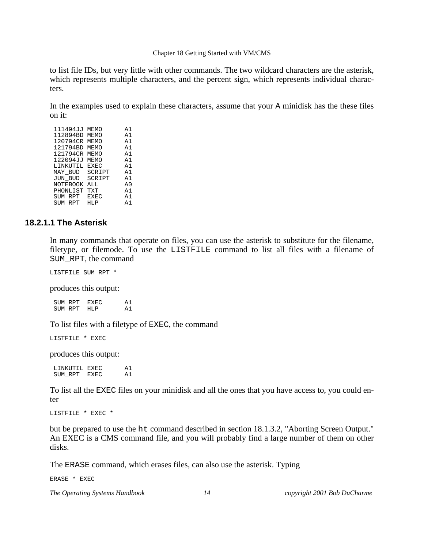#### Chapter 18 Getting Started with VM/CMS

to list file IDs, but very little with other commands. The two wildcard characters are the asterisk, which represents multiple characters, and the percent sign, which represents individual characters.

In the examples used to explain these characters, assume that your A minidisk has the these files on it:

| 111494JJ | MEMO        | Α1 |
|----------|-------------|----|
| 112894BD | <b>MEMO</b> | A1 |
| 120794CR | <b>MEMO</b> | A1 |
| 121794BD | MEMO        | Α1 |
| 121794CR | MEMO        | A1 |
| 122094JJ | <b>MEMO</b> | Α1 |
| LINKUTIL | <b>EXEC</b> | Α1 |
| MAY BUD  | SCRIPT      | Α1 |
| JUN BUD  | SCRIPT      | A1 |
| NOTEBOOK | ALL         | A0 |
| PHONLIST | <b>TXT</b>  | Α1 |
| SUM RPT  | EXEC        | A1 |
| SUM RPT  | HLP         | Α1 |
|          |             |    |

#### **18.2.1.1 The Asterisk**

In many commands that operate on files, you can use the asterisk to substitute for the filename, filetype, or filemode. To use the LISTFILE command to list all files with a filename of SUM\_RPT, the command

LISTFILE SUM\_RPT \*

produces this output:

SUM\_RPT EXEC A1<br>SUM RPT HLP A1  $SUM$  $RPT$   $HLP$ 

To list files with a filetype of EXEC, the command

LISTFILE \* EXEC

produces this output:

LINKUTIL EXEC A1<br>SUM RPT EXEC A1 SUM RPT EXEC

To list all the EXEC files on your minidisk and all the ones that you have access to, you could enter

LISTFILE \* EXEC \*

but be prepared to use the ht command described in section 18.1.3.2, "Aborting Screen Output." An EXEC is a CMS command file, and you will probably find a large number of them on other disks.

The ERASE command, which erases files, can also use the asterisk. Typing

ERASE \* EXEC

*The Operating Systems Handbook 14 copyright 2001 Bob DuCharme*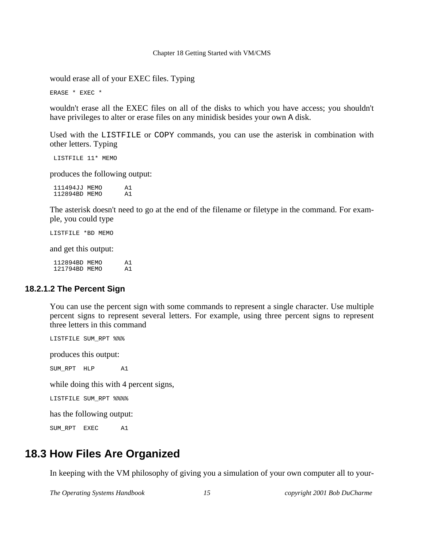#### Chapter 18 Getting Started with VM/CMS

would erase all of your EXEC files. Typing

ERASE \* EXEC \*

wouldn't erase all the EXEC files on all of the disks to which you have access; you shouldn't have privileges to alter or erase files on any minidisk besides your own A disk.

Used with the LISTFILE or COPY commands, you can use the asterisk in combination with other letters. Typing

LISTFILE 11\* MEMO

produces the following output:

111494JJ MEMO A1<br>112894BD MEMO A1 112894BD MEMO

The asterisk doesn't need to go at the end of the filename or filetype in the command. For example, you could type

LISTFILE \*BD MEMO

and get this output:

112894BD MEMO A1<br>121794BD MEMO A1 121794BD MEMO A1

#### **18.2.1.2 The Percent Sign**

You can use the percent sign with some commands to represent a single character. Use multiple percent signs to represent several letters. For example, using three percent signs to represent three letters in this command

LISTFILE SUM\_RPT %%%

produces this output:

SUM\_RPT HLP A1

while doing this with 4 percent signs,

LISTFILE SUM\_RPT %%%%

has the following output:

SUM\_RPT EXEC A1

## **18.3 How Files Are Organized**

In keeping with the VM philosophy of giving you a simulation of your own computer all to your-

*The Operating Systems Handbook 15 copyright 2001 Bob DuCharme*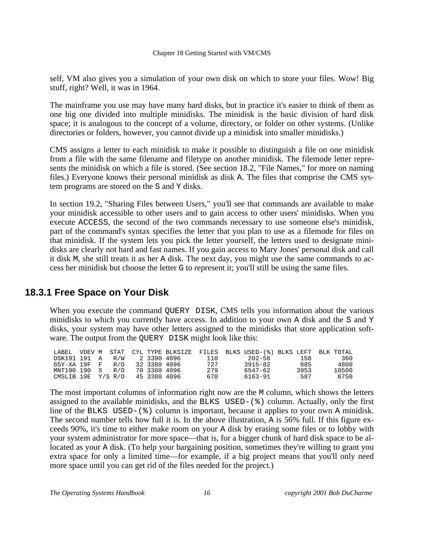self, VM also gives you a simulation of your own disk on which to store your files. Wow! Big stuff, right? Well, it was in 1964.

The mainframe you use may have many hard disks, but in practice it's easier to think of them as one big one divided into multiple minidisks. The minidisk is the basic division of hard disk space; it is analogous to the concept of a volume, directory, or folder on other systems. (Unlike directories or folders, however, you cannot divide up a minidisk into smaller minidisks.)

CMS assigns a letter to each minidisk to make it possible to distinguish a file on one minidisk from a file with the same filename and filetype on another minidisk. The filemode letter represents the minidisk on which a file is stored. (See section 18.2, "File Names," for more on naming files.) Everyone knows their personal minidisk as disk A. The files that comprise the CMS system programs are stored on the S and Y disks.

In section 19.2, "Sharing Files between Users," you'll see that commands are available to make your minidisk accessible to other users and to gain access to other users' minidisks. When you execute ACCESS, the second of the two commands necessary to use someone else's minidisk, part of the command's syntax specifies the letter that you plan to use as a filemode for files on that minidisk. If the system lets you pick the letter yourself, the letters used to designate minidisks are clearly not hard and fast names. If you gain access to Mary Jones' personal disk and call it disk M, she still treats it as her A disk. The next day, you might use the same commands to access her minidisk but choose the letter G to represent it; you'll still be using the same files.

## **18.3.1 Free Space on Your Disk**

When you execute the command QUERY DISK, CMS tells you information about the various minidisks to which you currently have access. In addition to your own A disk and the S and Y disks, your system may have other letters assigned to the minidisks that store application software. The output from the QUERY DISK might look like this:

|                                 |  |  |              |             |     | LABEL VDEV M STAT CYL TYPE BLKSIZE FILES BLKS USED-(%) BLKS LEFT BLK TOTAL |      |       |
|---------------------------------|--|--|--------------|-------------|-----|----------------------------------------------------------------------------|------|-------|
| DSK191 191 A R/W                |  |  |              | 2 3390 4096 | 110 | $202 - 56$                                                                 | 158  | 360   |
| $65Y-XA$ 19F F R/O              |  |  | 32 3380 4096 |             | 727 | 3915-82                                                                    | 885  | 4800  |
| MNT190 190 S R/O 70 3380 4096   |  |  |              |             | 279 | 6547–62                                                                    | 3953 | 10500 |
| CMSLIB 19E Y/S R/O 45 3380 4096 |  |  |              |             | 670 | 6163-91                                                                    | 587  | 6750  |

The most important columns of information right now are the M column, which shows the letters assigned to the available minidisks, and the BLKS USED-(%) column. Actually, only the first line of the BLKS USED-(%) column is important, because it applies to your own A minidisk. The second number tells how full it is. In the above illustration, A is 56% full. If this figure exceeds 90%, it's time to either make room on your A disk by erasing some files or to lobby with your system administrator for more space—that is, for a bigger chunk of hard disk space to be allocated as your A disk. (To help your bargaining position, sometimes they're willing to grant you extra space for only a limited time—for example, if a big project means that you'll only need more space until you can get rid of the files needed for the project.)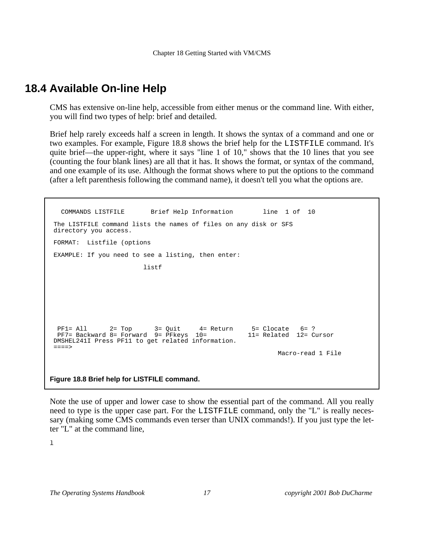## **18.4 Available On-line Help**

CMS has extensive on-line help, accessible from either menus or the command line. With either, you will find two types of help: brief and detailed.

Brief help rarely exceeds half a screen in length. It shows the syntax of a command and one or two examples. For example, Figure 18.8 shows the brief help for the LISTFILE command. It's quite brief—the upper-right, where it says "line 1 of 10," shows that the 10 lines that you see (counting the four blank lines) are all that it has. It shows the format, or syntax of the command, and one example of its use. Although the format shows where to put the options to the command (after a left parenthesis following the command name), it doesn't tell you what the options are.

```
 COMMANDS LISTFILE Brief Help Information line 1 of 10
 The LISTFILE command lists the names of files on any disk or SFS
directory you access.
FORMAT: Listfile (options
EXAMPLE: If you need to see a listing, then enter:
                        listf
 PF1= All 2= Top 3= Quit 4= Return 5= Clocate 6= ?
  PF7= Backward 8= Forward 9= PFkeys 10= 11= Related 12= Cursor
DMSHEL241I Press PF11 to get related information.
 ====> Macro-read 1 File
Figure 18.8 Brief help for LISTFILE command.
```
Note the use of upper and lower case to show the essential part of the command. All you really need to type is the upper case part. For the LISTFILE command, only the "L" is really necessary (making some CMS commands even terser than UNIX commands!). If you just type the letter "L" at the command line,

 $\overline{1}$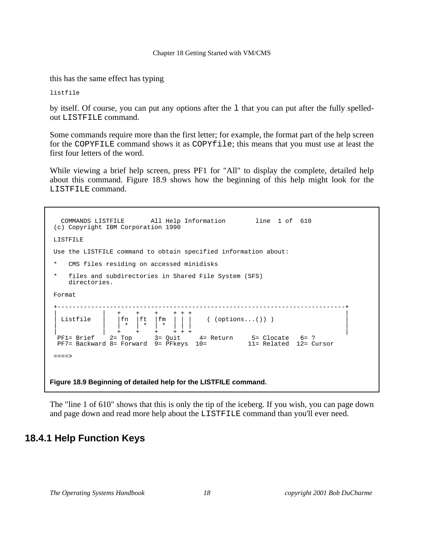#### Chapter 18 Getting Started with VM/CMS

this has the same effect has typing

listfile

by itself. Of course, you can put any options after the 1 that you can put after the fully spelledout LISTFILE command.

Some commands require more than the first letter; for example, the format part of the help screen for the COPYFILE command shows it as COPYfile; this means that you must use at least the first four letters of the word.

While viewing a brief help screen, press PF1 for "All" to display the complete, detailed help about this command. Figure 18.9 shows how the beginning of this help might look for the LISTFILE command.

 COMMANDS LISTFILE All Help Information line 1 of 610 (c) Copyright IBM Corporation 1990 LISTFILE Use the LISTFILE command to obtain specified information about: \* CMS files residing on accessed minidisks files and subdirectories in Shared File System (SFS) directories. Format +-----------------------------------------------------------------------------+ | | + + + + + + | | Listfile | |fn |ft |fm | | | ( (options...()) ) | | | | \* | \* | \* | | | | | | + + + + + + | PF1= Brief 2= Top 3= Quit 4= Return 5= Clocate 6= ?<br>PF7= Backward 8= Forward 9= PFkeys 10= 11= Related 12= Cursor PF7= Backward 8= Forward 9= PFkeys 10=  $====>$ **Figure 18.9 Beginning of detailed help for the LISTFILE command.**

The "line 1 of 610" shows that this is only the tip of the iceberg. If you wish, you can page down and page down and read more help about the LISTFILE command than you'll ever need.

## **18.4.1 Help Function Keys**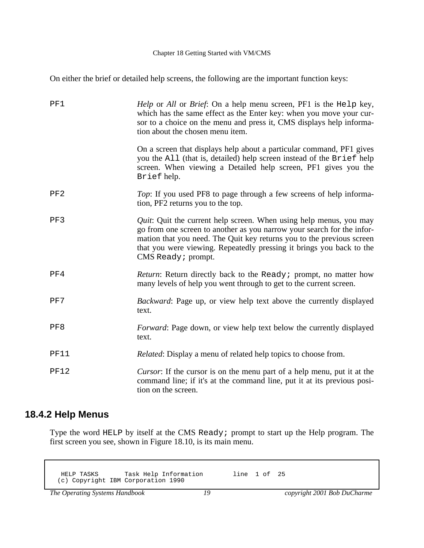On either the brief or detailed help screens, the following are the important function keys:

| PF1             | Help or All or Brief: On a help menu screen, PF1 is the Help key,<br>which has the same effect as the Enter key: when you move your cur-<br>sor to a choice on the menu and press it, CMS displays help informa-<br>tion about the chosen menu item.                                                                         |
|-----------------|------------------------------------------------------------------------------------------------------------------------------------------------------------------------------------------------------------------------------------------------------------------------------------------------------------------------------|
|                 | On a screen that displays help about a particular command, PF1 gives<br>you the All (that is, detailed) help screen instead of the Brief help<br>screen. When viewing a Detailed help screen, PF1 gives you the<br>Brief help.                                                                                               |
| PF <sub>2</sub> | <i>Top</i> : If you used PF8 to page through a few screens of help informa-<br>tion, PF2 returns you to the top.                                                                                                                                                                                                             |
| PF3             | <i>Quit:</i> Quit the current help screen. When using help menus, you may<br>go from one screen to another as you narrow your search for the infor-<br>mation that you need. The Quit key returns you to the previous screen<br>that you were viewing. Repeatedly pressing it brings you back to the<br>$CMS$ Ready; prompt. |
| PF <sub>4</sub> | <i>Return:</i> Return directly back to the Ready; prompt, no matter how<br>many levels of help you went through to get to the current screen.                                                                                                                                                                                |
| PF7             | <i>Backward</i> : Page up, or view help text above the currently displayed<br>text.                                                                                                                                                                                                                                          |
| PF8             | Forward: Page down, or view help text below the currently displayed<br>text.                                                                                                                                                                                                                                                 |
| <b>PF11</b>     | <i>Related:</i> Display a menu of related help topics to choose from.                                                                                                                                                                                                                                                        |
| <b>PF12</b>     | <i>Cursor</i> : If the cursor is on the menu part of a help menu, put it at the<br>command line; if it's at the command line, put it at its previous posi-<br>tion on the screen.                                                                                                                                            |

## **18.4.2 Help Menus**

Type the word HELP by itself at the CMS Ready; prompt to start up the Help program. The first screen you see, shown in Figure 18.10, is its main menu.

HELP TASKS Task Help Information line 1 of 25 (c) Copyright IBM Corporation 1990

*The Operating Systems Handbook 19 copyright 2001 Bob DuCharme*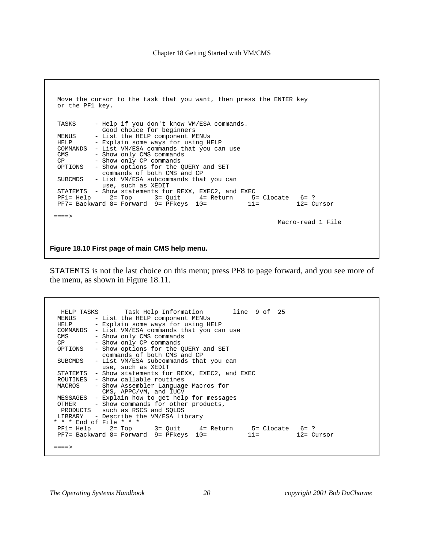```
 Move the cursor to the task that you want, then press the ENTER key
  or the PF1 key.
  TASKS - Help if you don't know VM/ESA commands.
 Good choice for beginners<br>MENUS - List the HELP component M
 MENUS - List the HELP component MENUs<br>HELP - Explain some ways for using H
             - Explain some ways for using HELP
 COMMANDS - List VM/ESA commands that you can use<br>CMS - Show only CMS commands
 CMS - Show only CMS commands<br>
CP - Show only CP commands
 CP - Show only CP commands<br>OPTIONS - Show options for the
           - Show options for the QUERY and SET
 commands of both CMS and CP<br>SUBCMDS - List VM/ESA subcommands that
           - List VM/ESA subcommands that you can
                use, such as XEDIT
 STATEMTS - Show statements for REXX, EXEC2, and EXEC<br>PF1= Help 2= Top 3= Quit 4= Return 5= Clocate
PF1= Help 2= Top 3= Quit 4= Return 5= Clocate 6= ?
 PF7= Backward 8= Forward 9= PFkeys 10= 11= 12= Cursor
===> Macro-read 1 File
```

```
Figure 18.10 First page of main CMS help menu.
```
STATEMTS is not the last choice on this menu; press PF8 to page forward, and you see more of the menu, as shown in Figure 18.11.

```
HELP TASKS Task Help Information line 9 of 25<br>MENUS - List the HELP component MENUs
           - List the HELP component MENUs
HELP - Explain some ways for using HELP
 COMMANDS - List VM/ESA commands that you can use
CMS - Show only CMS commands
CP - Show only CP commands
 OPTIONS - Show options for the QUERY and SET
commands of both CMS and CP<br>SUBCMDS - List VM/ESA subcommands tha
          - List VM/ESA subcommands that you can
              use, such as XEDIT
 STATEMTS - Show statements for REXX, EXEC2, and EXEC
ROUTINES - Show callable routines<br>MACROS - Show Assembler Languag
           - Show Assembler Language Macros for
             CMS, APPC/VM, and IUCV
 MESSAGES - Explain how to get help for messages
OTHER - Show commands for other products,
 PRODUCTS such as RSCS and SQLDS
 LIBRARY - Describe the VM/ESA library
* * * End of File * * *
                             3= Quit 4= Return 5= Clocate 6= ?<br>
9= PFkeys 10= 11= 12= Cursor
PF7= Backward 8= Forward 9= PFkeys 10=
====>
```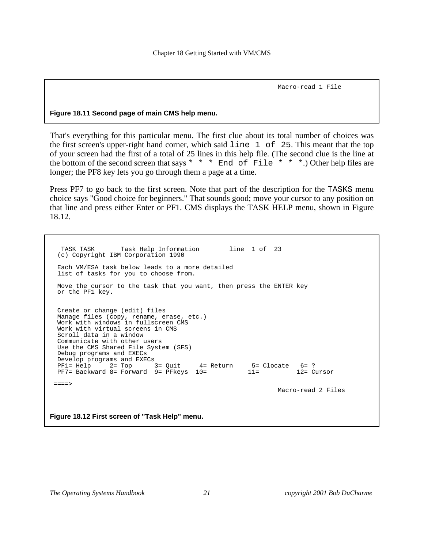Macro-read 1 File

#### **Figure 18.11 Second page of main CMS help menu.**

That's everything for this particular menu. The first clue about its total number of choices was the first screen's upper-right hand corner, which said line 1 of 25. This meant that the top of your screen had the first of a total of 25 lines in this help file. (The second clue is the line at the bottom of the second screen that says  $* * *$  End of File  $* * *$ .) Other help files are longer; the PF8 key lets you go through them a page at a time.

Press PF7 to go back to the first screen. Note that part of the description for the TASKS menu choice says "Good choice for beginners." That sounds good; move your cursor to any position on that line and press either Enter or PF1. CMS displays the TASK HELP menu, shown in Figure 18.12.

 TASK TASK Task Help Information line 1 of 23 (c) Copyright IBM Corporation 1990 Each VM/ESA task below leads to a more detailed list of tasks for you to choose from. Move the cursor to the task that you want, then press the ENTER key or the PF1 key. Create or change (edit) files Manage files (copy, rename, erase, etc.) Work with windows in fullscreen CMS Work with virtual screens in CMS Scroll data in a window Communicate with other users Use the CMS Shared File System (SFS) Debug programs and EXECs Develop programs and EXECs PF1= Help 2= Top 3= Quit 4= Return 5= Clocate 6= ? PF7= Backward 8= Forward 9= PFkeys 10= 11= 12= Cursor  $====>$  Macro-read 2 Files **Figure 18.12 First screen of "Task Help" menu.**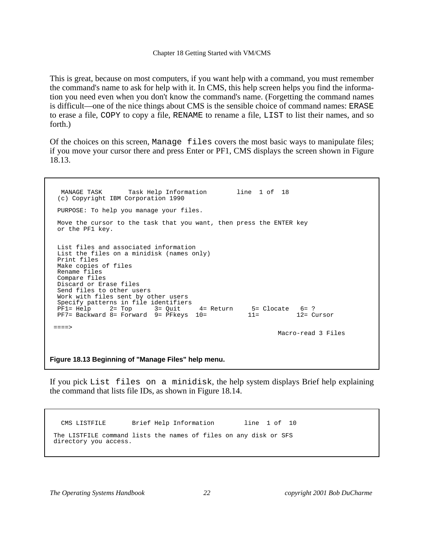This is great, because on most computers, if you want help with a command, you must remember the command's name to ask for help with it. In CMS, this help screen helps you find the information you need even when you don't know the command's name. (Forgetting the command names is difficult—one of the nice things about CMS is the sensible choice of command names: ERASE to erase a file, COPY to copy a file, RENAME to rename a file, LIST to list their names, and so forth.)

Of the choices on this screen, Manage files covers the most basic ways to manipulate files; if you move your cursor there and press Enter or PF1, CMS displays the screen shown in Figure 18.13.

 MANAGE TASK Task Help Information line 1 of 18 (c) Copyright IBM Corporation 1990 PURPOSE: To help you manage your files. Move the cursor to the task that you want, then press the ENTER key or the PF1 key. List files and associated information List the files on a minidisk (names only) Print files Make copies of files Rename files Compare files Discard or Erase files Send files to other users Work with files sent by other users Specify patterns in file identifiers  $PF1= He1\overline{p}$  2= Top 3= Quit 4= Return 5= Clocate 6= ?<br>PF7= Backward 8= Forward 9= PFkeys 10= 11= 12= Cursor  $PF7=$  Backward 8=  $Forward$  9=  $PFkeys$  10= 11=  $=$  $=$  $=$  $>$ Macro-read 3 Files

**Figure 18.13 Beginning of "Manage Files" help menu.**

If you pick List files on a minidisk, the help system displays Brief help explaining the command that lists file IDs, as shown in Figure 18.14.

 CMS LISTFILE Brief Help Information line 1 of 10 The LISTFILE command lists the names of files on any disk or SFS directory you access.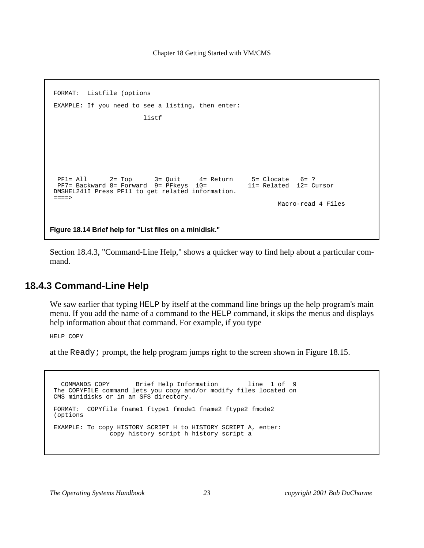Chapter 18 Getting Started with VM/CMS

```
FORMAT: Listfile (options
 EXAMPLE: If you need to see a listing, then enter:
                        listf
 PF1= All 2= Top 3= Quit 4= Return 5= Clocate 6= ?
  PF7= Backward 8= Forward 9= PFkeys 10= 11= Related 12= Cursor
DMSHEL241I Press PF11 to get related information.
 ====> Macro-read 4 Files
Figure 18.14 Brief help for "List files on a minidisk."
```
Section 18.4.3, "Command-Line Help," shows a quicker way to find help about a particular command.

### **18.4.3 Command-Line Help**

We saw earlier that typing HELP by itself at the command line brings up the help program's main menu. If you add the name of a command to the HELP command, it skips the menus and displays help information about that command. For example, if you type

HELP COPY

at the Ready; prompt, the help program jumps right to the screen shown in Figure 18.15.

```
 COMMANDS COPY Brief Help Information line 1 of 9
The COPYFILE command lets you copy and/or modify files located on
CMS minidisks or in an SFS directory.
FORMAT: COPYfile fname1 ftype1 fmode1 fname2 ftype2 fmode2
(options
EXAMPLE: To copy HISTORY SCRIPT H to HISTORY SCRIPT A, enter:
               copy history script h history script a
```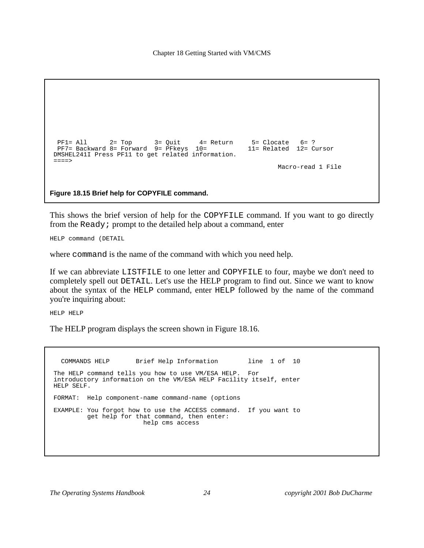```
PF1= All 2= Top 3= Quit 4= Return 5= Clocate 6= ?
  PF7= Backward 8= Forward 9= PFkeys 10= 11= Related 12= Cursor
DMSHEL241I Press PF11 to get related information.
==-=> Macro-read 1 File
Figure 18.15 Brief help for COPYFILE command.
```
This shows the brief version of help for the COPYFILE command. If you want to go directly from the Ready; prompt to the detailed help about a command, enter

HELP command (DETAIL

where command is the name of the command with which you need help.

If we can abbreviate LISTFILE to one letter and COPYFILE to four, maybe we don't need to completely spell out DETAIL. Let's use the HELP program to find out. Since we want to know about the syntax of the HELP command, enter HELP followed by the name of the command you're inquiring about:

HELP HELP

The HELP program displays the screen shown in Figure 18.16.

 COMMANDS HELP Brief Help Information line 1 of 10 The HELP command tells you how to use VM/ESA HELP. For introductory information on the VM/ESA HELP Facility itself, enter HELP SELF. FORMAT: Help component-name command-name (options EXAMPLE: You forgot how to use the ACCESS command. If you want to get help for that command, then enter: help cms access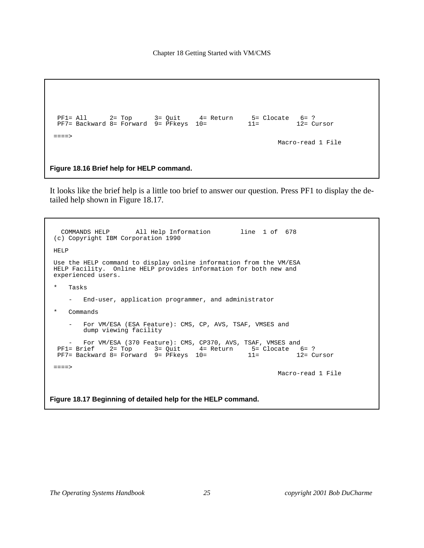```
PF1= All 2= Top 3= Quit 4= Return 5= Clocate 6= ?
  PF7= Backward 8= Forward 9= PFkeys 10= 11= 12= Cursor
====>
                                                   Macro-read 1 File
Figure 18.16 Brief help for HELP command.
```
It looks like the brief help is a little too brief to answer our question. Press PF1 to display the detailed help shown in Figure 18.17.

```
 COMMANDS HELP All Help Information line 1 of 678
(c) Copyright IBM Corporation 1990
HELP
Use the HELP command to display online information from the VM/ESA
HELP Facility. Online HELP provides information for both new and
experienced users.
   Tasks
        - End-user, application programmer, and administrator
* Commands
       For VM/ESA (ESA Feature): CMS, CP, AVS, TSAF, VMSES and
        dump viewing facility
    - For VM/ESA (370 Feature): CMS, CP370, AVS, TSAF, VMSES and
PF1= Brief 2= Top 3= Quit 4= Return 5= Clocate 6= ?
 PF7= Backward 8= Forward 9= PFkeys 10= 11= 12= Cursor
===> Macro-read 1 File
```
**Figure 18.17 Beginning of detailed help for the HELP command.**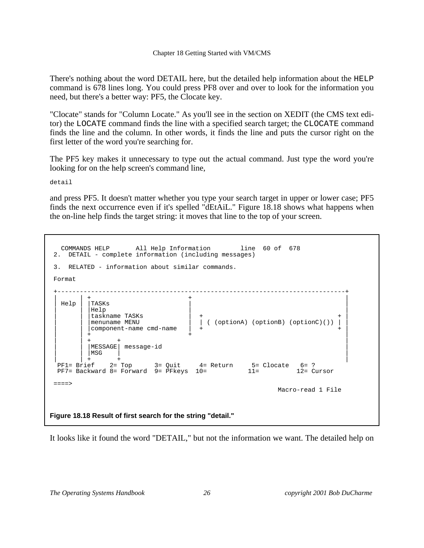There's nothing about the word DETAIL here, but the detailed help information about the HELP command is 678 lines long. You could press PF8 over and over to look for the information you need, but there's a better way: PF5, the Clocate key.

"Clocate" stands for "Column Locate." As you'll see in the section on XEDIT (the CMS text editor) the LOCATE command finds the line with a specified search target; the CLOCATE command finds the line and the column. In other words, it finds the line and puts the cursor right on the first letter of the word you're searching for.

The PF5 key makes it unnecessary to type out the actual command. Just type the word you're looking for on the help screen's command line,

detail

and press PF5. It doesn't matter whether you type your search target in upper or lower case; PF5 finds the next occurrence even if it's spelled "dEtAiL." Figure 18.18 shows what happens when the on-line help finds the target string: it moves that line to the top of your screen.

 COMMANDS HELP All Help Information line 60 of 678 2. DETAIL - complete information (including messages) 3. RELATED - information about similar commands. Format +-----------------------------------------------------------------------------+ | | + + | | Help | |TASKs | | | | |Help | | | | |taskname TASKs | + + | | | |menuname MENU | | ( (optionA) (optionB) (optionC)()) | | | | |component-name cmd-name | + + | | | + + | | | + + | | MESSAGE | message-id<br>| MSG | | |MSG | | | | + + | PF1= Brief 2= Top 3= Quit 4= Return 5= Clocate 6= ? PF7= Backward 8= Forward 9= PFkeys 10= 11= 12= Cursor  $====>$  Macro-read 1 File **Figure 18.18 Result of first search for the string "detail."**

It looks like it found the word "DETAIL," but not the information we want. The detailed help on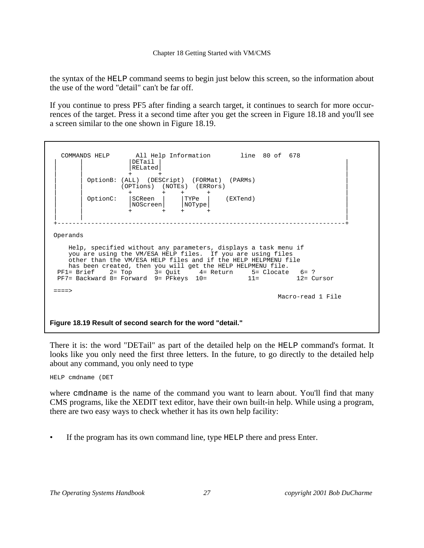the syntax of the HELP command seems to begin just below this screen, so the information about the use of the word "detail" can't be far off.

If you continue to press PF5 after finding a search target, it continues to search for more occurrences of the target. Press it a second time after you get the screen in Figure 18.18 and you'll see a screen similar to the one shown in Figure 18.19.

 COMMANDS HELP All Help Information line 80 of 678 | | |DETail | | | | |RELated| | | | + + | OptionB: (ALL) (DESCript) (FORMat) (PARMs) (OPTions) (NOTEs) (ERRors) | | + + + + | OptionC:  $|\text{SCreen}|\$  |TYPe (EXTend)<br>NOScreen | NOType  $|$  NOScreen $|$ | | + + + + | | | | +-----------------------------------------------------------------------------+ Operands Help, specified without any parameters, displays a task menu if you are using the VM/ESA HELP files. If you are using files other than the VM/ESA HELP files and if the HELP HELPMENU file has been created, then you will get the HELP HELPMENU file. PF1= Brief 2= Top 3= Quit 4= Return 5= Clocate 6= ? PF7= Backward 8= Forward 9= PFkeys 10= 11= 12= Cursor  $====>$  Macro-read 1 File **Figure 18.19 Result of second search for the word "detail."**

There it is: the word "DETail" as part of the detailed help on the HELP command's format. It looks like you only need the first three letters. In the future, to go directly to the detailed help about any command, you only need to type

HELP cmdname (DET

where cmdname is the name of the command you want to learn about. You'll find that many CMS programs, like the XEDIT text editor, have their own built-in help. While using a program, there are two easy ways to check whether it has its own help facility:

If the program has its own command line, type HELP there and press Enter.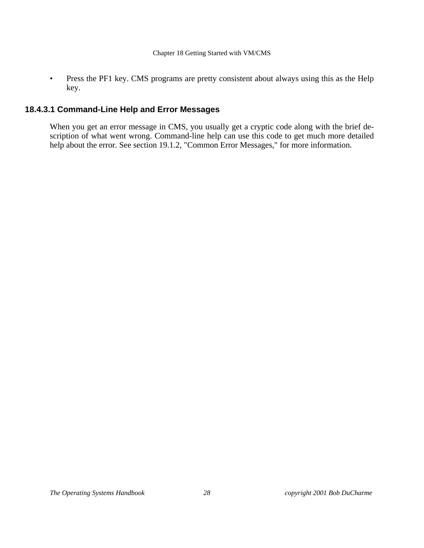• Press the PF1 key. CMS programs are pretty consistent about always using this as the Help key.

### **18.4.3.1 Command-Line Help and Error Messages**

When you get an error message in CMS, you usually get a cryptic code along with the brief description of what went wrong. Command-line help can use this code to get much more detailed help about the error. See section 19.1.2, "Common Error Messages," for more information.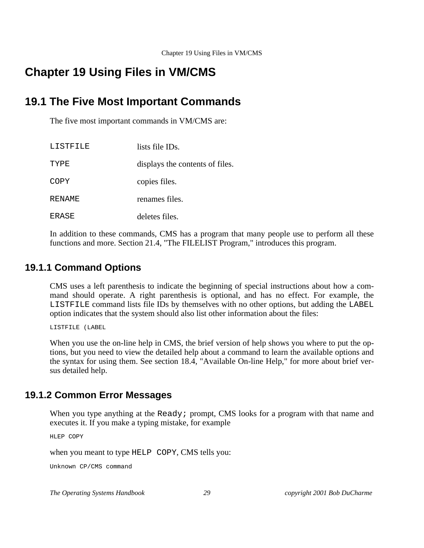## **Chapter 19 Using Files in VM/CMS**

## **19.1 The Five Most Important Commands**

The five most important commands in VM/CMS are:

| LISTFILE | lists file IDs.                 |
|----------|---------------------------------|
| TYPE     | displays the contents of files. |
| COPY     | copies files.                   |
| RENAME   | renames files.                  |
| ERASE    | deletes files.                  |

In addition to these commands, CMS has a program that many people use to perform all these functions and more. Section 21.4, "The FILELIST Program," introduces this program.

## **19.1.1 Command Options**

CMS uses a left parenthesis to indicate the beginning of special instructions about how a command should operate. A right parenthesis is optional, and has no effect. For example, the LISTFILE command lists file IDs by themselves with no other options, but adding the LABEL option indicates that the system should also list other information about the files:

LISTFILE (LABEL

When you use the on-line help in CMS, the brief version of help shows you where to put the options, but you need to view the detailed help about a command to learn the available options and the syntax for using them. See section 18.4, "Available On-line Help," for more about brief versus detailed help.

## **19.1.2 Common Error Messages**

When you type anything at the Ready; prompt, CMS looks for a program with that name and executes it. If you make a typing mistake, for example

HLEP COPY

when you meant to type HELP COPY, CMS tells you:

Unknown CP/CMS command

*The Operating Systems Handbook 29 copyright 2001 Bob DuCharme*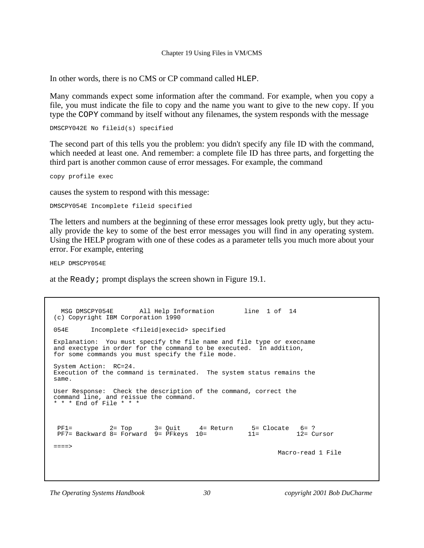#### Chapter 19 Using Files in VM/CMS

In other words, there is no CMS or CP command called HLEP.

Many commands expect some information after the command. For example, when you copy a file, you must indicate the file to copy and the name you want to give to the new copy. If you type the COPY command by itself without any filenames, the system responds with the message

DMSCPY042E No fileid(s) specified

The second part of this tells you the problem: you didn't specify any file ID with the command, which needed at least one. And remember: a complete file ID has three parts, and forgetting the third part is another common cause of error messages. For example, the command

copy profile exec

causes the system to respond with this message:

DMSCPY054E Incomplete fileid specified

The letters and numbers at the beginning of these error messages look pretty ugly, but they actually provide the key to some of the best error messages you will find in any operating system. Using the HELP program with one of these codes as a parameter tells you much more about your error. For example, entering

HELP DMSCPY054E

at the Ready; prompt displays the screen shown in Figure 19.1.

```
 MSG DMSCPY054E All Help Information line 1 of 14
(c) Copyright IBM Corporation 1990
054E Incomplete <fileid|execid> specified
Explanation: You must specify the file name and file type or execname
and exectype in order for the command to be executed. In addition,
for some commands you must specify the file mode.
System Action: RC=24.
Execution of the command is terminated. The system status remains the
same.
User Response: Check the description of the command, correct the
command line, and reissue the command.
* * * End of File * * *
PF1= 2= Top 3= Quit 4= Return 5= Clocate 6= ?
 PF7= Backward 8= Forward 9= PFkeys 10= 11= 12= Cursor
====> Macro-read 1 File
```
*The Operating Systems Handbook 30 copyright 2001 Bob DuCharme*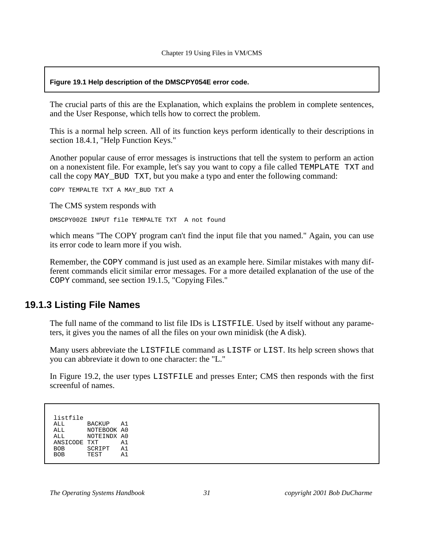#### **Figure 19.1 Help description of the DMSCPY054E error code.**

The crucial parts of this are the Explanation, which explains the problem in complete sentences, and the User Response, which tells how to correct the problem.

This is a normal help screen. All of its function keys perform identically to their descriptions in section 18.4.1, "Help Function Keys."

Another popular cause of error messages is instructions that tell the system to perform an action on a nonexistent file. For example, let's say you want to copy a file called TEMPLATE TXT and call the copy MAY\_BUD TXT, but you make a typo and enter the following command:

COPY TEMPALTE TXT A MAY\_BUD TXT A

The CMS system responds with

DMSCPY002E INPUT file TEMPALTE TXT A not found

which means "The COPY program can't find the input file that you named." Again, you can use its error code to learn more if you wish.

Remember, the COPY command is just used as an example here. Similar mistakes with many different commands elicit similar error messages. For a more detailed explanation of the use of the COPY command, see section 19.1.5, "Copying Files."

### **19.1.3 Listing File Names**

The full name of the command to list file IDs is LISTFILE. Used by itself without any parameters, it gives you the names of all the files on your own minidisk (the A disk).

Many users abbreviate the LISTFILE command as LISTF or LIST. Its help screen shows that you can abbreviate it down to one character: the "L."

In Figure 19.2, the user types LISTFILE and presses Enter; CMS then responds with the first screenful of names.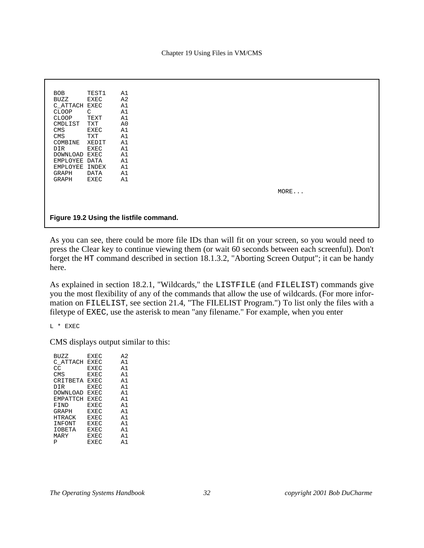| <b>BOB</b>    | TEST1       | A1             |
|---------------|-------------|----------------|
| <b>BUZZ</b>   | <b>EXEC</b> | A <sub>2</sub> |
| C_ATTACH      | EXEC        | A1             |
| <b>CLOOP</b>  | C           | A1             |
| <b>CLOOP</b>  | TEXT        | A1             |
| CMDLIST       | <b>TXT</b>  | A <sub>0</sub> |
| CMS           | <b>EXEC</b> | A1             |
| <b>CMS</b>    | <b>TXT</b>  | A1             |
| COMBINE       | XEDIT       | A1             |
| DIR           | <b>EXEC</b> | A1             |
| DOWNLOAD EXEC |             | A1             |
| EMPLOYEE DATA |             | A1             |
| EMPLOYEE      | INDEX       | A1             |
| GRAPH         | DATA        | A1             |
| GRAPH         | <b>EXEC</b> | A1             |
|               |             |                |
|               |             |                |
|               |             |                |
|               |             |                |

### **Figure 19.2 Using the listfile command.**

As you can see, there could be more file IDs than will fit on your screen, so you would need to press the Clear key to continue viewing them (or wait 60 seconds between each screenful). Don't forget the HT command described in section 18.1.3.2, "Aborting Screen Output"; it can be handy here.

As explained in section 18.2.1, "Wildcards," the LISTFILE (and FILELIST) commands give you the most flexibility of any of the commands that allow the use of wildcards. (For more information on FILELIST, see section 21.4, "The FILELIST Program.") To list only the files with a filetype of EXEC, use the asterisk to mean "any filename." For example, when you enter

L \* EXEC

CMS displays output similar to this:

| EXEC             | A 2 |
|------------------|-----|
| C ATTACH<br>EXEC | Α1  |
| EXEC             | Α1  |
| EXEC             | Α1  |
| CRITBETA<br>EXEC | A1  |
| EXEC             | A1  |
| EXEC             | Α1  |
| EMPATTCH<br>EXEC | A 1 |
| EXEC             | A1  |
| EXEC             | Α1  |
| EXEC             | A1  |
| EXEC             | Α1  |
| EXEC             | A1  |
| <b>EXEC</b>      | A1  |
| EXEC             | Α1  |
|                  |     |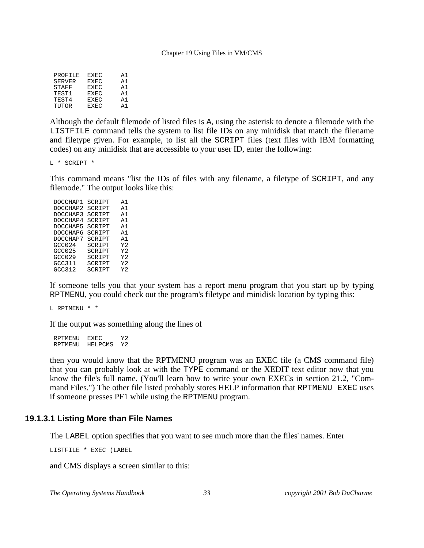| PROFILE       | EXEC        | A1  |
|---------------|-------------|-----|
| <b>SERVER</b> | EXEC        | A 1 |
| STAFF         | <b>EXEC</b> | A1  |
| TEST1         | <b>EXEC</b> | A1  |
| TEST4         | <b>EXEC</b> | Α1  |
| TUTOR         | <b>EXEC</b> | A1  |

Although the default filemode of listed files is A, using the asterisk to denote a filemode with the LISTFILE command tells the system to list file IDs on any minidisk that match the filename and filetype given. For example, to list all the SCRIPT files (text files with IBM formatting codes) on any minidisk that are accessible to your user ID, enter the following:

L \* SCRIPT \*

This command means "list the IDs of files with any filename, a filetype of SCRIPT, and any filemode." The output looks like this:

DOCCHAP1 SCRIPT A1 DOCCHAP2 SCRIPT DOCCHAP3 SCRIPT A1 DOCCHAP4 SCRIPT A1<br>DOCCHAP5 SCRIPT A1 DOCCHAP5 SCRIPT A1 DOCCHAP6 SCRIPT A1 DOCCHAP7 SCRIPT A1<br>GCC024 SCRIPT Y2 GCC024 SCRIPT Y2 GCC025 SCRIPT Y2 GCC029 SCRIPT Y2<br>GCC311 SCRIPT Y2 GCC311 SCRIPT Y2<br>GCC312 SCRIPT Y2 SCRIPT

If someone tells you that your system has a report menu program that you start up by typing RPTMENU, you could check out the program's filetype and minidisk location by typing this:

L RPTMENU \* \*

If the output was something along the lines of

RPTMENU EXEC Y2 RPTMENU HELPCMS Y2

then you would know that the RPTMENU program was an EXEC file (a CMS command file) that you can probably look at with the TYPE command or the XEDIT text editor now that you know the file's full name. (You'll learn how to write your own EXECs in section 21.2, "Command Files.") The other file listed probably stores HELP information that RPTMENU EXEC uses if someone presses PF1 while using the RPTMENU program.

### **19.1.3.1 Listing More than File Names**

The LABEL option specifies that you want to see much more than the files' names. Enter

LISTFILE \* EXEC (LABEL

and CMS displays a screen similar to this:

*The Operating Systems Handbook 33 copyright 2001 Bob DuCharme*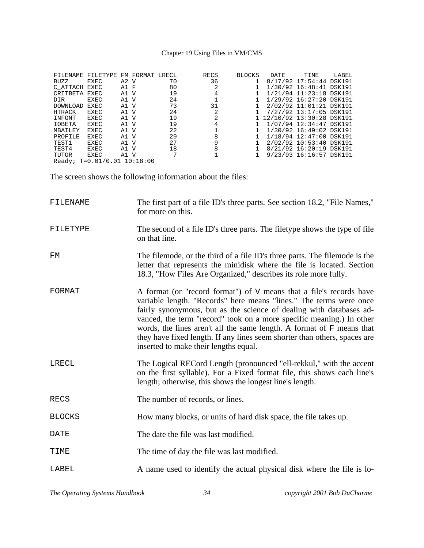| FILENAME      | FILETYPE                      | FM   | FORMAT LRECL |    | <b>RECS</b> | <b>BLOCKS</b> | DATE                       | TIME                    | LABEL |
|---------------|-------------------------------|------|--------------|----|-------------|---------------|----------------------------|-------------------------|-------|
| BUZZ          | EXEC                          | A2 V |              | 70 | 36          |               |                            | 8/17/92 17:54:44 DSK191 |       |
| C ATTACH      | EXEC                          | A1 F |              | 80 | 2           |               |                            | 1/30/92 16:48:41 DSK191 |       |
| CRITBETA      | EXEC                          | A1 V |              | 19 | 4           |               |                            | 1/21/94 11:23:18 DSK191 |       |
| DIR           | <b>EXEC</b>                   | A1 V |              | 24 |             |               |                            | 1/29/92 16:27:20 DSK191 |       |
| DOWNLOAD      | <b>EXEC</b>                   | A1 V |              | 73 | 31          |               |                            | 2/02/92 11:01:21 DSK191 |       |
| HTRACK        | <b>EXEC</b>                   | A1 V |              | 24 |             |               |                            | 7/27/92 13:17:05 DSK191 |       |
| INFONT        | <b>EXEC</b>                   | A1 V |              | 19 |             |               | 1 12/10/92 13:30:28 DSK191 |                         |       |
| <b>IOBETA</b> | <b>EXEC</b>                   | A1 V |              | 19 | 4           |               |                            | 1/07/94 12:34:47 DSK191 |       |
| MBAILEY       | <b>EXEC</b>                   | A1 V |              | 22 |             |               |                            | 1/30/92 16:49:02 DSK191 |       |
| PROFILE       | <b>EXEC</b>                   | A1 V |              | 29 | 8           |               |                            | 1/18/94 12:47:00 DSK191 |       |
| TEST1         | <b>EXEC</b>                   | A1 V |              | 27 | 9           |               |                            | 2/02/92 10:53:40 DSK191 |       |
| TEST4         | <b>EXEC</b>                   | A1 V |              | 18 | 8           |               |                            | 8/21/92 16:20:19 DSK191 |       |
| <b>TUTOR</b>  | <b>EXEC</b>                   | A1 V |              | 7  |             |               |                            | 9/23/93 16:16:57 DSK191 |       |
|               | Ready; $T=0.01/0.01 10:18:00$ |      |              |    |             |               |                            |                         |       |

The screen shows the following information about the files:

| FILENAME      | The first part of a file ID's three parts. See section 18.2, "File Names,"<br>for more on this.                                                                                                                                                                                                                                                                                                                                                                                         |
|---------------|-----------------------------------------------------------------------------------------------------------------------------------------------------------------------------------------------------------------------------------------------------------------------------------------------------------------------------------------------------------------------------------------------------------------------------------------------------------------------------------------|
| FILETYPE      | The second of a file ID's three parts. The filetype shows the type of file<br>on that line.                                                                                                                                                                                                                                                                                                                                                                                             |
| FМ            | The filemode, or the third of a file ID's three parts. The filemode is the<br>letter that represents the minidisk where the file is located. Section<br>18.3, "How Files Are Organized," describes its role more fully.                                                                                                                                                                                                                                                                 |
| FORMAT        | A format (or "record format") of V means that a file's records have<br>variable length. "Records" here means "lines." The terms were once<br>fairly synonymous, but as the science of dealing with databases ad-<br>vanced, the term "record" took on a more specific meaning.) In other<br>words, the lines aren't all the same length. A format of F means that<br>they have fixed length. If any lines seem shorter than others, spaces are<br>inserted to make their lengths equal. |
| LRECL         | The Logical RECord Length (pronounced "ell-rekkul," with the accent<br>on the first syllable). For a Fixed format file, this shows each line's<br>length; otherwise, this shows the longest line's length.                                                                                                                                                                                                                                                                              |
| <b>RECS</b>   | The number of records, or lines.                                                                                                                                                                                                                                                                                                                                                                                                                                                        |
| <b>BLOCKS</b> | How many blocks, or units of hard disk space, the file takes up.                                                                                                                                                                                                                                                                                                                                                                                                                        |
| DATE          | The date the file was last modified.                                                                                                                                                                                                                                                                                                                                                                                                                                                    |
| TIME          | The time of day the file was last modified.                                                                                                                                                                                                                                                                                                                                                                                                                                             |
| LABEL         | A name used to identify the actual physical disk where the file is lo-                                                                                                                                                                                                                                                                                                                                                                                                                  |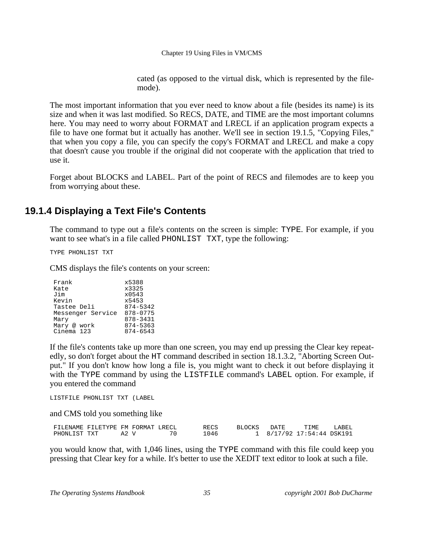cated (as opposed to the virtual disk, which is represented by the filemode).

The most important information that you ever need to know about a file (besides its name) is its size and when it was last modified. So RECS, DATE, and TIME are the most important columns here. You may need to worry about FORMAT and LRECL if an application program expects a file to have one format but it actually has another. We'll see in section 19.1.5, "Copying Files," that when you copy a file, you can specify the copy's FORMAT and LRECL and make a copy that doesn't cause you trouble if the original did not cooperate with the application that tried to use it.

Forget about BLOCKS and LABEL. Part of the point of RECS and filemodes are to keep you from worrying about these.

# **19.1.4 Displaying a Text File's Contents**

The command to type out a file's contents on the screen is simple: TYPE. For example, if you want to see what's in a file called PHONLIST TXT, type the following:

TYPE PHONLIST TXT

CMS displays the file's contents on your screen:

| Frank             | x5388        |
|-------------------|--------------|
| Kate              | x3325        |
| Jim               | x0543        |
| Kevin             | x5453        |
| Tastee Deli       | 874-5342     |
| Messenger Service | 878-0775     |
| Mary              | 878-3431     |
| Mary @ work       | $874 - 5363$ |
| Cinema 123        | $874 - 6543$ |
|                   |              |

If the file's contents take up more than one screen, you may end up pressing the Clear key repeatedly, so don't forget about the HT command described in section 18.1.3.2, "Aborting Screen Output." If you don't know how long a file is, you might want to check it out before displaying it with the TYPE command by using the LISTFILE command's LABEL option. For example, if you entered the command

LISTFILE PHONLIST TXT (LABEL

and CMS told you something like

|              | FILENAME FILETYPE FM FORMAT LRECL |  | RECS | BLOCKS DATE | TIME                      | LABEL |
|--------------|-----------------------------------|--|------|-------------|---------------------------|-------|
| PHONLIST TXT |                                   |  | 1046 |             | 1 8/17/92 17:54:44 DSK191 |       |

you would know that, with 1,046 lines, using the TYPE command with this file could keep you pressing that Clear key for a while. It's better to use the XEDIT text editor to look at such a file.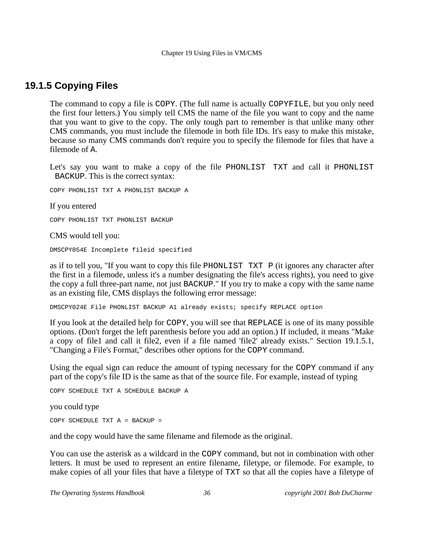## **19.1.5 Copying Files**

The command to copy a file is COPY. (The full name is actually COPYFILE, but you only need the first four letters.) You simply tell CMS the name of the file you want to copy and the name that you want to give to the copy. The only tough part to remember is that unlike many other CMS commands, you must include the filemode in both file IDs. It's easy to make this mistake, because so many CMS commands don't require you to specify the filemode for files that have a filemode of A.

Let's say you want to make a copy of the file PHONLIST TXT and call it PHONLIST BACKUP. This is the correct syntax:

COPY PHONLIST TXT A PHONLIST BACKUP A

If you entered

COPY PHONLIST TXT PHONLIST BACKUP

CMS would tell you:

DMSCPY054E Incomplete fileid specified

as if to tell you, "If you want to copy this file PHONLIST TXT P (it ignores any character after the first in a filemode, unless it's a number designating the file's access rights), you need to give the copy a full three-part name, not just BACKUP." If you try to make a copy with the same name as an existing file, CMS displays the following error message:

DMSCPY024E File PHONLIST BACKUP A1 already exists; specify REPLACE option

If you look at the detailed help for COPY, you will see that REPLACE is one of its many possible options. (Don't forget the left parenthesis before you add an option.) If included, it means "Make a copy of file1 and call it file2, even if a file named 'file2' already exists." Section 19.1.5.1, "Changing a File's Format," describes other options for the COPY command.

Using the equal sign can reduce the amount of typing necessary for the COPY command if any part of the copy's file ID is the same as that of the source file. For example, instead of typing

COPY SCHEDULE TXT A SCHEDULE BACKUP A

you could type

COPY SCHEDULE TXT A = BACKUP =

and the copy would have the same filename and filemode as the original.

You can use the asterisk as a wildcard in the COPY command, but not in combination with other letters. It must be used to represent an entire filename, filetype, or filemode. For example, to make copies of all your files that have a filetype of TXT so that all the copies have a filetype of

*The Operating Systems Handbook 36 copyright 2001 Bob DuCharme*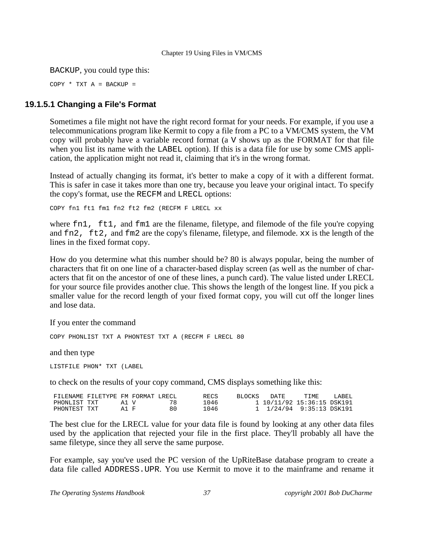BACKUP, you could type this:

 $COPY * TXT A = BACKUP =$ 

### **19.1.5.1 Changing a File's Format**

Sometimes a file might not have the right record format for your needs. For example, if you use a telecommunications program like Kermit to copy a file from a PC to a VM/CMS system, the VM copy will probably have a variable record format (a V shows up as the FORMAT for that file when you list its name with the LABEL option). If this is a data file for use by some CMS application, the application might not read it, claiming that it's in the wrong format.

Instead of actually changing its format, it's better to make a copy of it with a different format. This is safer in case it takes more than one try, because you leave your original intact. To specify the copy's format, use the RECFM and LRECL options:

COPY fn1 ft1 fm1 fn2 ft2 fm2 (RECFM F LRECL xx

where fn1, ft1, and fm1 are the filename, filetype, and filemode of the file you're copying and fn2, ft2, and fm2 are the copy's filename, filetype, and filemode. xx is the length of the lines in the fixed format copy.

How do you determine what this number should be? 80 is always popular, being the number of characters that fit on one line of a character-based display screen (as well as the number of characters that fit on the ancestor of one of these lines, a punch card). The value listed under LRECL for your source file provides another clue. This shows the length of the longest line. If you pick a smaller value for the record length of your fixed format copy, you will cut off the longer lines and lose data.

#### If you enter the command

COPY PHONLIST TXT A PHONTEST TXT A (RECFM F LRECL 80

and then type

LISTFILE PHON\* TXT (LABEL

to check on the results of your copy command, CMS displays something like this:

|              | FILENAME FILETYPE FM FORMAT LRECL |      |    | RECS | <b>BLOCKS</b> | <b>DATE</b>                | <b>TTME</b> | LABEL |
|--------------|-----------------------------------|------|----|------|---------------|----------------------------|-------------|-------|
| PHONLIST TXT |                                   | 21 V |    | 1046 |               | 1 10/11/92 15:36:15 DSK191 |             |       |
| PHONTEST TXT |                                   | A1 F | 80 | 1046 |               | 1 1/24/94 9:35:13 DSK191   |             |       |

The best clue for the LRECL value for your data file is found by looking at any other data files used by the application that rejected your file in the first place. They'll probably all have the same filetype, since they all serve the same purpose.

For example, say you've used the PC version of the UpRiteBase database program to create a data file called ADDRESS.UPR. You use Kermit to move it to the mainframe and rename it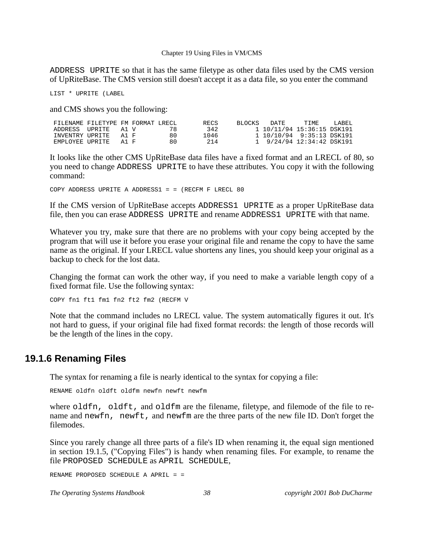ADDRESS UPRITE so that it has the same filetype as other data files used by the CMS version of UpRiteBase. The CMS version still doesn't accept it as a data file, so you enter the command

LIST \* UPRITE (LABEL

and CMS shows you the following:

| FILENAME FILETYPE FM FORMAT LRECL |      |      |     | RECS | BLOCKS | DATE.                      | TTME. | T.ARET. |
|-----------------------------------|------|------|-----|------|--------|----------------------------|-------|---------|
| ADDRESS UPRITE                    |      | Al V | 78  | 342  |        | 1 10/11/94 15:36:15 DSK191 |       |         |
| INVENTRY UPRITE                   | A1 F |      | 80  | 1046 |        | 1 10/10/94 9:35:13 DSK191  |       |         |
| EMPLOYEE UPRITE                   | A1 F |      | 80. | 214  |        | 1 9/24/94 12:34:42 DSK191  |       |         |

It looks like the other CMS UpRiteBase data files have a fixed format and an LRECL of 80, so you need to change ADDRESS UPRITE to have these attributes. You copy it with the following command:

COPY ADDRESS UPRITE A ADDRESS1 =  $=$  (RECFM F LRECL 80)

If the CMS version of UpRiteBase accepts ADDRESS1 UPRITE as a proper UpRiteBase data file, then you can erase ADDRESS UPRITE and rename ADDRESS1 UPRITE with that name.

Whatever you try, make sure that there are no problems with your copy being accepted by the program that will use it before you erase your original file and rename the copy to have the same name as the original. If your LRECL value shortens any lines, you should keep your original as a backup to check for the lost data.

Changing the format can work the other way, if you need to make a variable length copy of a fixed format file. Use the following syntax:

COPY fn1 ft1 fm1 fn2 ft2 fm2 (RECFM V

Note that the command includes no LRECL value. The system automatically figures it out. It's not hard to guess, if your original file had fixed format records: the length of those records will be the length of the lines in the copy.

### **19.1.6 Renaming Files**

The syntax for renaming a file is nearly identical to the syntax for copying a file:

RENAME oldfn oldft oldfm newfn newft newfm

where oldfn, oldft, and oldfm are the filename, filetype, and filemode of the file to rename and newfn, newft, and newfm are the three parts of the new file ID. Don't forget the filemodes.

Since you rarely change all three parts of a file's ID when renaming it, the equal sign mentioned in section 19.1.5, ("Copying Files") is handy when renaming files. For example, to rename the file PROPOSED SCHEDULE as APRIL SCHEDULE,

RENAME PROPOSED SCHEDULE A APRIL = =

*The Operating Systems Handbook 38 copyright 2001 Bob DuCharme*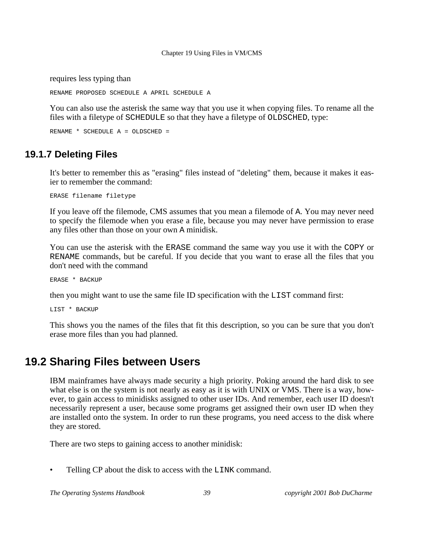requires less typing than

RENAME PROPOSED SCHEDULE A APRIL SCHEDULE A

You can also use the asterisk the same way that you use it when copying files. To rename all the files with a filetype of SCHEDULE so that they have a filetype of OLDSCHED, type:

RENAME \* SCHEDULE A = OLDSCHED =

## **19.1.7 Deleting Files**

It's better to remember this as "erasing" files instead of "deleting" them, because it makes it easier to remember the command:

ERASE filename filetype

If you leave off the filemode, CMS assumes that you mean a filemode of A. You may never need to specify the filemode when you erase a file, because you may never have permission to erase any files other than those on your own A minidisk.

You can use the asterisk with the ERASE command the same way you use it with the COPY or RENAME commands, but be careful. If you decide that you want to erase all the files that you don't need with the command

ERASE \* BACKUP

then you might want to use the same file ID specification with the LIST command first:

LIST \* BACKUP

This shows you the names of the files that fit this description, so you can be sure that you don't erase more files than you had planned.

# **19.2 Sharing Files between Users**

IBM mainframes have always made security a high priority. Poking around the hard disk to see what else is on the system is not nearly as easy as it is with UNIX or VMS. There is a way, however, to gain access to minidisks assigned to other user IDs. And remember, each user ID doesn't necessarily represent a user, because some programs get assigned their own user ID when they are installed onto the system. In order to run these programs, you need access to the disk where they are stored.

There are two steps to gaining access to another minidisk:

Telling CP about the disk to access with the LINK command.

*The Operating Systems Handbook 39 copyright 2001 Bob DuCharme*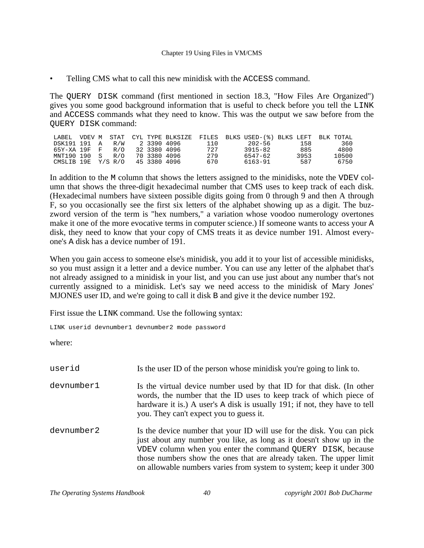• Telling CMS what to call this new minidisk with the ACCESS command.

The QUERY DISK command (first mentioned in section 18.3, "How Files Are Organized") gives you some good background information that is useful to check before you tell the LINK and ACCESS commands what they need to know. This was the output we saw before from the QUERY DISK command:

|                                 |  |  |              |     | LABEL VDEV M STAT CYL TYPE BLKSIZE FILES BLKS USED-(%) BLKS LEFT BLK TOTAL |      |       |
|---------------------------------|--|--|--------------|-----|----------------------------------------------------------------------------|------|-------|
| DSK191 191 A R/W 2 3390 4096    |  |  |              | 110 | $202 - 56$                                                                 | 158  | 360   |
| 65Y-XA 19F F R/O                |  |  | 32 3380 4096 | 727 | 3915-82                                                                    | 885  | 4800. |
| MNT190190S R/O                  |  |  | 70 3380 4096 | 279 | 6547–62                                                                    | 3953 | 10500 |
| CMSLIB 19E Y/S R/O 45 3380 4096 |  |  |              | 670 | 6163-91                                                                    | 587  | 6750  |

In addition to the M column that shows the letters assigned to the minidisks, note the VDEV column that shows the three-digit hexadecimal number that CMS uses to keep track of each disk. (Hexadecimal numbers have sixteen possible digits going from 0 through 9 and then A through F, so you occasionally see the first six letters of the alphabet showing up as a digit. The buzzword version of the term is "hex numbers," a variation whose voodoo numerology overtones make it one of the more evocative terms in computer science.) If someone wants to access your A disk, they need to know that your copy of CMS treats it as device number 191. Almost everyone's A disk has a device number of 191.

When you gain access to someone else's minidisk, you add it to your list of accessible minidisks, so you must assign it a letter and a device number. You can use any letter of the alphabet that's not already assigned to a minidisk in your list, and you can use just about any number that's not currently assigned to a minidisk. Let's say we need access to the minidisk of Mary Jones' MJONES user ID, and we're going to call it disk B and give it the device number 192.

First issue the LINK command. Use the following syntax:

LINK userid devnumber1 devnumber2 mode password

where:

| userid     | Is the user ID of the person whose minidisk you're going to link to.                                                                                                                                                                                                                                                                                       |
|------------|------------------------------------------------------------------------------------------------------------------------------------------------------------------------------------------------------------------------------------------------------------------------------------------------------------------------------------------------------------|
| devnumber1 | Is the virtual device number used by that ID for that disk. (In other<br>words, the number that the ID uses to keep track of which piece of<br>hardware it is.) A user's A disk is usually 191; if not, they have to tell<br>you. They can't expect you to guess it.                                                                                       |
| devnumber2 | Is the device number that your ID will use for the disk. You can pick<br>just about any number you like, as long as it doesn't show up in the<br>VDEV column when you enter the command QUERY DISK, because<br>those numbers show the ones that are already taken. The upper limit<br>on allowable numbers varies from system to system; keep it under 300 |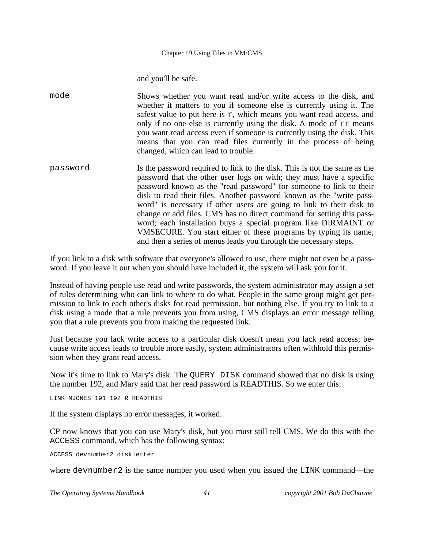and you'll be safe.

mode Shows whether you want read and/or write access to the disk, and whether it matters to you if someone else is currently using it. The safest value to put here is  $r$ , which means you want read access, and only if no one else is currently using the disk. A mode of  $rr$  means you want read access even if someone is currently using the disk. This means that you can read files currently in the process of being changed, which can lead to trouble.

password Is the password required to link to the disk. This is not the same as the password that the other user logs on with; they must have a specific password known as the "read password" for someone to link to their disk to read their files. Another password known as the "write password" is necessary if other users are going to link to their disk to change or add files. CMS has no direct command for setting this password; each installation buys a special program like DIRMAINT or VMSECURE. You start either of these programs by typing its name, and then a series of menus leads you through the necessary steps.

If you link to a disk with software that everyone's allowed to use, there might not even be a password. If you leave it out when you should have included it, the system will ask you for it.

Instead of having people use read and write passwords, the system administrator may assign a set of rules determining who can link to where to do what. People in the same group might get permission to link to each other's disks for read permission, but nothing else. If you try to link to a disk using a mode that a rule prevents you from using, CMS displays an error message telling you that a rule prevents you from making the requested link.

Just because you lack write access to a particular disk doesn't mean you lack read access; because write access leads to trouble more easily, system administrators often withhold this permission when they grant read access.

Now it's time to link to Mary's disk. The QUERY DISK command showed that no disk is using the number 192, and Mary said that her read password is READTHIS. So we enter this:

LINK MJONES 191 192 R READTHIS

If the system displays no error messages, it worked.

CP now knows that you can use Mary's disk, but you must still tell CMS. We do this with the ACCESS command, which has the following syntax:

ACCESS devnumber2 diskletter

where devnumber 2 is the same number you used when you issued the LINK command—the

*The Operating Systems Handbook 41 copyright 2001 Bob DuCharme*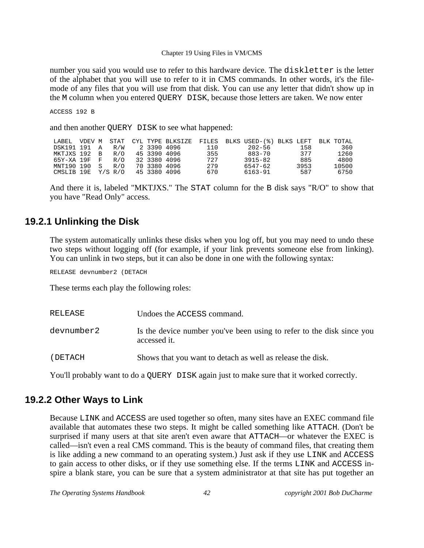number you said you would use to refer to this hardware device. The diskletter is the letter of the alphabet that you will use to refer to it in CMS commands. In other words, it's the filemode of any files that you will use from that disk. You can use any letter that didn't show up in the M column when you entered QUERY DISK, because those letters are taken. We now enter

ACCESS 192 B

and then another QUERY DISK to see what happened:

| LABEL                |  |     |              | VDEV M STAT CYL TYPE BLKSIZE |     | FILES BLKS USED-(%) BLKS LEFT BLK TOTAL |      |       |
|----------------------|--|-----|--------------|------------------------------|-----|-----------------------------------------|------|-------|
| DSK191 191 A         |  | R/W | 233904096    |                              | 110 | $202 - 56$                              | 158  | 360   |
| MKTJXS 192 B         |  | R/O | 45 3390 4096 |                              | 355 | 883-70                                  | 377  | 1260  |
| 65Y-XA 19F F         |  | R/O | 32 3380 4096 |                              | 727 | $3915 - 82$                             | 885  | 4800  |
| MNT190 190 S         |  | R/O | 70 3380 4096 |                              | 279 | 6547-62                                 | 3953 | 10500 |
| CMSLIB $19E$ Y/S R/O |  |     | 45 3380 4096 |                              | 670 | 6163-91                                 | 587  | 6750  |

And there it is, labeled "MKTJXS." The STAT column for the B disk says "R/O" to show that you have "Read Only" access.

## **19.2.1 Unlinking the Disk**

The system automatically unlinks these disks when you log off, but you may need to undo these two steps without logging off (for example, if your link prevents someone else from linking). You can unlink in two steps, but it can also be done in one with the following syntax:

RELEASE devnumber2 (DETACH

These terms each play the following roles:

| RELEASE    | Undoes the ACCESS command.                                                            |
|------------|---------------------------------------------------------------------------------------|
| devnumber2 | Is the device number you've been using to refer to the disk since you<br>accessed it. |
| (DETACH    | Shows that you want to detach as well as release the disk.                            |

You'll probably want to do a QUERY DISK again just to make sure that it worked correctly.

### **19.2.2 Other Ways to Link**

Because LINK and ACCESS are used together so often, many sites have an EXEC command file available that automates these two steps. It might be called something like ATTACH. (Don't be surprised if many users at that site aren't even aware that ATTACH—or whatever the EXEC is called—isn't even a real CMS command. This is the beauty of command files, that creating them is like adding a new command to an operating system.) Just ask if they use LINK and ACCESS to gain access to other disks, or if they use something else. If the terms LINK and ACCESS inspire a blank stare, you can be sure that a system administrator at that site has put together an

*The Operating Systems Handbook 42 copyright 2001 Bob DuCharme*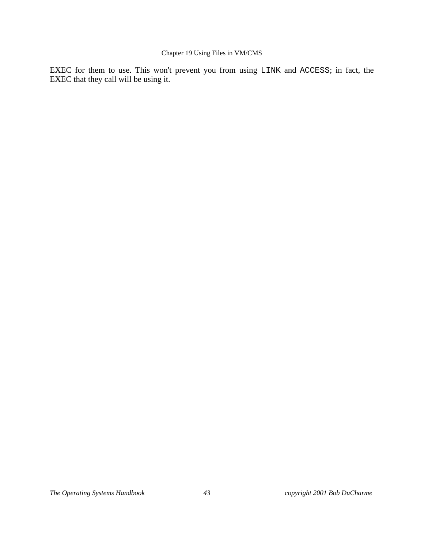EXEC for them to use. This won't prevent you from using LINK and ACCESS; in fact, the EXEC that they call will be using it.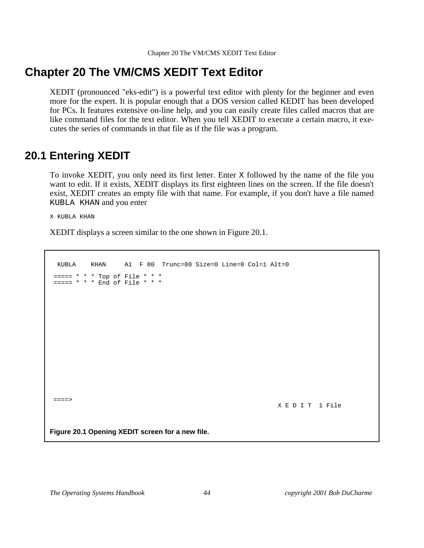XEDIT (pronounced "eks-edit") is a powerful text editor with plenty for the beginner and even more for the expert. It is popular enough that a DOS version called KEDIT has been developed for PCs. It features extensive on-line help, and you can easily create files called macros that are like command files for the text editor. When you tell XEDIT to execute a certain macro, it executes the series of commands in that file as if the file was a program.

# **20.1 Entering XEDIT**

To invoke XEDIT, you only need its first letter. Enter X followed by the name of the file you want to edit. If it exists, XEDIT displays its first eighteen lines on the screen. If the file doesn't exist, XEDIT creates an empty file with that name. For example, if you don't have a file named KUBLA KHAN and you enter

X KUBLA KHAN

XEDIT displays a screen similar to the one shown in Figure 20.1.

```
KUBLA KHAN \overline{A1} F 80 Trunc=80 Size=0 Line=0 Col=1 Alt=0
 ===== * * * Top of File * * *
 ==== * * * \text{End of File} * * *====>
                                                                   X E D I T 1 File
Figure 20.1 Opening XEDIT screen for a new file.
```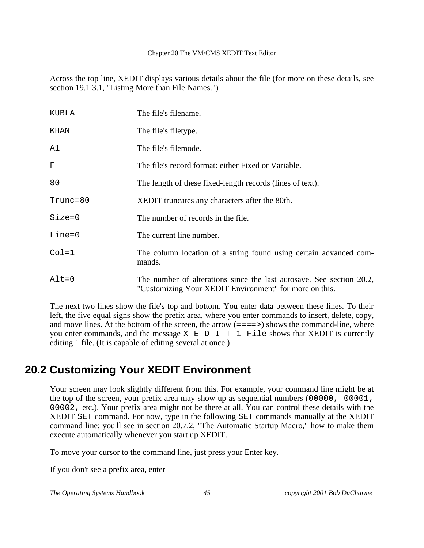Across the top line, XEDIT displays various details about the file (for more on these details, see section 19.1.3.1, "Listing More than File Names.")

| KUBLA              | The file's filename.                                                                                                           |
|--------------------|--------------------------------------------------------------------------------------------------------------------------------|
| KHAN               | The file's filetype.                                                                                                           |
| A1                 | The file's filemode.                                                                                                           |
| $\mathbf{F}% _{0}$ | The file's record format: either Fixed or Variable.                                                                            |
| 80                 | The length of these fixed-length records (lines of text).                                                                      |
| Trunc=80           | XEDIT truncates any characters after the 80th.                                                                                 |
| $Size = 0$         | The number of records in the file.                                                                                             |
| $Line = 0$         | The current line number.                                                                                                       |
| $Col=1$            | The column location of a string found using certain advanced com-<br>mands.                                                    |
| $\text{Alt}=0$     | The number of alterations since the last autosave. See section 20.2,<br>"Customizing Your XEDIT Environment" for more on this. |

The next two lines show the file's top and bottom. You enter data between these lines. To their left, the five equal signs show the prefix area, where you enter commands to insert, delete, copy, and move lines. At the bottom of the screen, the arrow  $(===>)$  shows the command-line, where you enter commands, and the message  $X \to D I T I$  File shows that XEDIT is currently editing 1 file. (It is capable of editing several at once.)

# **20.2 Customizing Your XEDIT Environment**

Your screen may look slightly different from this. For example, your command line might be at the top of the screen, your prefix area may show up as sequential numbers (00000, 00001, 00002, etc.). Your prefix area might not be there at all. You can control these details with the XEDIT SET command. For now, type in the following SET commands manually at the XEDIT command line; you'll see in section 20.7.2, "The Automatic Startup Macro," how to make them execute automatically whenever you start up XEDIT.

To move your cursor to the command line, just press your Enter key.

If you don't see a prefix area, enter

*The Operating Systems Handbook 45 copyright 2001 Bob DuCharme*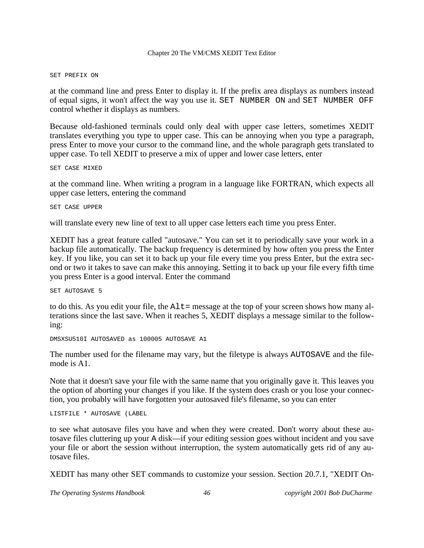#### SET PREFIX ON

at the command line and press Enter to display it. If the prefix area displays as numbers instead of equal signs, it won't affect the way you use it. SET NUMBER ON and SET NUMBER OFF control whether it displays as numbers.

Because old-fashioned terminals could only deal with upper case letters, sometimes XEDIT translates everything you type to upper case. This can be annoying when you type a paragraph, press Enter to move your cursor to the command line, and the whole paragraph gets translated to upper case. To tell XEDIT to preserve a mix of upper and lower case letters, enter

SET CASE MIXED

at the command line. When writing a program in a language like FORTRAN, which expects all upper case letters, entering the command

SET CASE UPPER

will translate every new line of text to all upper case letters each time you press Enter.

XEDIT has a great feature called "autosave." You can set it to periodically save your work in a backup file automatically. The backup frequency is determined by how often you press the Enter key. If you like, you can set it to back up your file every time you press Enter, but the extra second or two it takes to save can make this annoying. Setting it to back up your file every fifth time you press Enter is a good interval. Enter the command

SET AUTOSAVE 5

to do this. As you edit your file, the Alt= message at the top of your screen shows how many alterations since the last save. When it reaches 5, XEDIT displays a message similar to the following:

DMSXSU510I AUTOSAVED as 100005 AUTOSAVE A1

The number used for the filename may vary, but the filetype is always AUTOSAVE and the filemode is A1.

Note that it doesn't save your file with the same name that you originally gave it. This leaves you the option of aborting your changes if you like. If the system does crash or you lose your connection, you probably will have forgotten your autosaved file's filename, so you can enter

LISTFILE \* AUTOSAVE (LABEL

to see what autosave files you have and when they were created. Don't worry about these autosave files cluttering up your A disk—if your editing session goes without incident and you save your file or abort the session without interruption, the system automatically gets rid of any autosave files.

XEDIT has many other SET commands to customize your session. Section 20.7.1, "XEDIT On-

*The Operating Systems Handbook 46 copyright 2001 Bob DuCharme*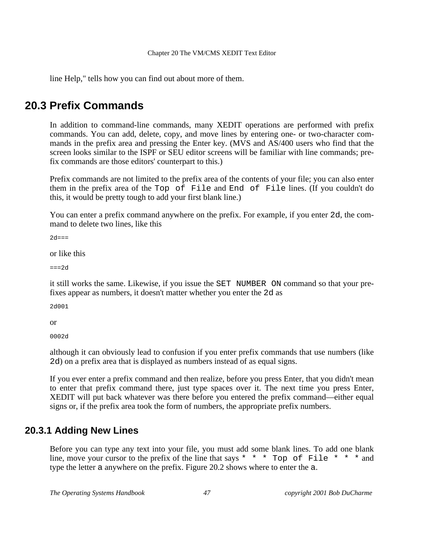line Help," tells how you can find out about more of them.

# **20.3 Prefix Commands**

In addition to command-line commands, many XEDIT operations are performed with prefix commands. You can add, delete, copy, and move lines by entering one- or two-character commands in the prefix area and pressing the Enter key. (MVS and AS/400 users who find that the screen looks similar to the ISPF or SEU editor screens will be familiar with line commands; prefix commands are those editors' counterpart to this.)

Prefix commands are not limited to the prefix area of the contents of your file; you can also enter them in the prefix area of the Top of File and End of File lines. (If you couldn't do this, it would be pretty tough to add your first blank line.)

You can enter a prefix command anywhere on the prefix. For example, if you enter 2d, the command to delete two lines, like this

 $2d ==$ 

or like this

 $==-2d$ 

it still works the same. Likewise, if you issue the SET NUMBER ON command so that your prefixes appear as numbers, it doesn't matter whether you enter the 2d as

2d001

or

0002d

although it can obviously lead to confusion if you enter prefix commands that use numbers (like 2d) on a prefix area that is displayed as numbers instead of as equal signs.

If you ever enter a prefix command and then realize, before you press Enter, that you didn't mean to enter that prefix command there, just type spaces over it. The next time you press Enter, XEDIT will put back whatever was there before you entered the prefix command—either equal signs or, if the prefix area took the form of numbers, the appropriate prefix numbers.

# **20.3.1 Adding New Lines**

Before you can type any text into your file, you must add some blank lines. To add one blank line, move your cursor to the prefix of the line that says  $* * * \text{Top of File} * * * \text{and}$ type the letter a anywhere on the prefix. Figure 20.2 shows where to enter the a.

*The Operating Systems Handbook 47 copyright 2001 Bob DuCharme*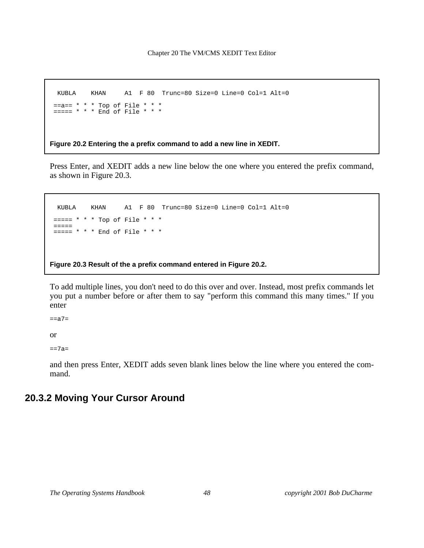```
 KUBLA KHAN A1 F 80 Trunc=80 Size=0 Line=0 Col=1 Alt=0
==a== * * * Top of File * * *
==== * * * \nEnd of File * * *
```
**Figure 20.2 Entering the a prefix command to add a new line in XEDIT.**

Press Enter, and XEDIT adds a new line below the one where you entered the prefix command, as shown in Figure 20.3.

```
 KUBLA KHAN A1 F 80 Trunc=80 Size=0 Line=0 Col=1 Alt=0
 ===== * * * Top of File * * *
 =====
 ==== * * * End of File * * *
Figure 20.3 Result of the a prefix command entered in Figure 20.2.
```
To add multiple lines, you don't need to do this over and over. Instead, most prefix commands let you put a number before or after them to say "perform this command this many times." If you enter

 $=-a7=$ 

or

 $=-7a=$ 

and then press Enter, XEDIT adds seven blank lines below the line where you entered the command.

# **20.3.2 Moving Your Cursor Around**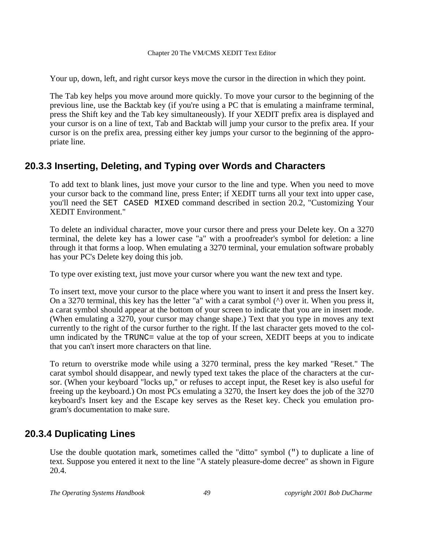Your up, down, left, and right cursor keys move the cursor in the direction in which they point.

The Tab key helps you move around more quickly. To move your cursor to the beginning of the previous line, use the Backtab key (if you're using a PC that is emulating a mainframe terminal, press the Shift key and the Tab key simultaneously). If your XEDIT prefix area is displayed and your cursor is on a line of text, Tab and Backtab will jump your cursor to the prefix area. If your cursor is on the prefix area, pressing either key jumps your cursor to the beginning of the appropriate line.

# **20.3.3 Inserting, Deleting, and Typing over Words and Characters**

To add text to blank lines, just move your cursor to the line and type. When you need to move your cursor back to the command line, press Enter; if XEDIT turns all your text into upper case, you'll need the SET CASED MIXED command described in section 20.2, "Customizing Your XEDIT Environment."

To delete an individual character, move your cursor there and press your Delete key. On a 3270 terminal, the delete key has a lower case "a" with a proofreader's symbol for deletion: a line through it that forms a loop. When emulating a 3270 terminal, your emulation software probably has your PC's Delete key doing this job.

To type over existing text, just move your cursor where you want the new text and type.

To insert text, move your cursor to the place where you want to insert it and press the Insert key. On a 3270 terminal, this key has the letter "a" with a carat symbol (^) over it. When you press it, a carat symbol should appear at the bottom of your screen to indicate that you are in insert mode. (When emulating a 3270, your cursor may change shape.) Text that you type in moves any text currently to the right of the cursor further to the right. If the last character gets moved to the column indicated by the TRUNC= value at the top of your screen, XEDIT beeps at you to indicate that you can't insert more characters on that line.

To return to overstrike mode while using a 3270 terminal, press the key marked "Reset." The carat symbol should disappear, and newly typed text takes the place of the characters at the cursor. (When your keyboard "locks up," or refuses to accept input, the Reset key is also useful for freeing up the keyboard.) On most PCs emulating a 3270, the Insert key does the job of the 3270 keyboard's Insert key and the Escape key serves as the Reset key. Check you emulation program's documentation to make sure.

# **20.3.4 Duplicating Lines**

Use the double quotation mark, sometimes called the "ditto" symbol (") to duplicate a line of text. Suppose you entered it next to the line "A stately pleasure-dome decree" as shown in Figure 20.4.

*The Operating Systems Handbook 49 copyright 2001 Bob DuCharme*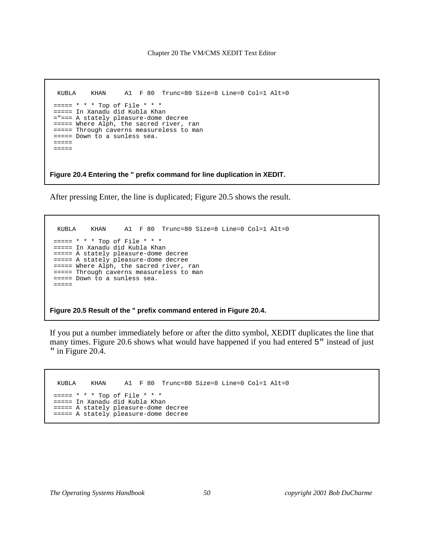```
 KUBLA KHAN A1 F 80 Trunc=80 Size=8 Line=0 Col=1 Alt=0
 ===== * * * Top of File * * *
===== In Xanadu did Kubla Khan
 ="=== A stately pleasure-dome decree
 ===== Where Alph, the sacred river, ran
===== Through caverns measureless to man
===== Down to a sunless sea.
 =====
 = = = =Figure 20.4 Entering the " prefix command for line duplication in XEDIT.
```
After pressing Enter, the line is duplicated; Figure 20.5 shows the result.

 KUBLA KHAN A1 F 80 Trunc=80 Size=8 Line=0 Col=1 Alt=0  $==== * * * * Top of File * * * *$ ===== In Xanadu did Kubla Khan ===== A stately pleasure-dome decree ===== A stately pleasure-dome decree ===== Where Alph, the sacred river, ran ===== Through caverns measureless to man ===== Down to a sunless sea.  $=$ 

**Figure 20.5 Result of the " prefix command entered in Figure 20.4.**

If you put a number immediately before or after the ditto symbol, XEDIT duplicates the line that many times. Figure 20.6 shows what would have happened if you had entered 5" instead of just " in Figure 20.4.

 KUBLA KHAN A1 F 80 Trunc=80 Size=8 Line=0 Col=1 Alt=0 ===== \* \* \* Top of File \* \* \* ===== In Xanadu did Kubla Khan ===== A stately pleasure-dome decree ===== A stately pleasure-dome decree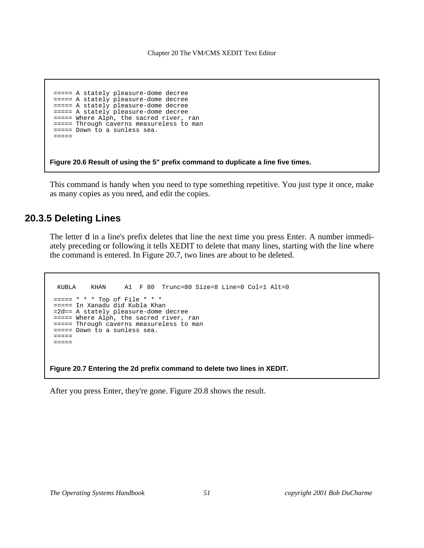```
===== A stately pleasure-dome decree
===== A stately pleasure-dome decree
===== A stately pleasure-dome decree
===== A stately pleasure-dome decree
===== Where Alph, the sacred river, ran
===== Through caverns measureless to man
===== Down to a sunless sea.
=====
```
**Figure 20.6 Result of using the 5" prefix command to duplicate a line five times.**

This command is handy when you need to type something repetitive. You just type it once, make as many copies as you need, and edit the copies.

## **20.3.5 Deleting Lines**

The letter d in a line's prefix deletes that line the next time you press Enter. A number immediately preceding or following it tells XEDIT to delete that many lines, starting with the line where the command is entered. In Figure 20.7, two lines are about to be deleted.

```
 KUBLA KHAN A1 F 80 Trunc=80 Size=8 Line=0 Col=1 Alt=0
==== * * * * Top of File * * * *===== In Xanadu did Kubla Khan
=2d== A stately pleasure-dome decree
===== Where Alph, the sacred river, ran
===== Through caverns measureless to man
===== Down to a sunless sea.
=====
=====
```
**Figure 20.7 Entering the 2d prefix command to delete two lines in XEDIT.**

After you press Enter, they're gone. Figure 20.8 shows the result.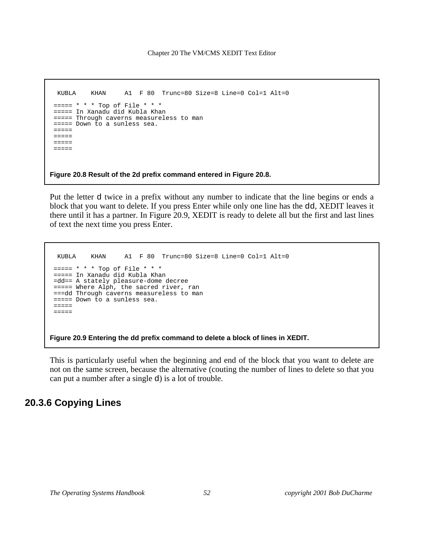```
 KUBLA KHAN A1 F 80 Trunc=80 Size=8 Line=0 Col=1 Alt=0
 ===== * * * Top of File * * *
===== In Xanadu did Kubla Khan
 ===== Through caverns measureless to man
 ===== Down to a sunless sea.
=====
 =====
 =====
 = = = =Figure 20.8 Result of the 2d prefix command entered in Figure 20.8.
```
Put the letter d twice in a prefix without any number to indicate that the line begins or ends a block that you want to delete. If you press Enter while only one line has the dd, XEDIT leaves it there until it has a partner. In Figure 20.9, XEDIT is ready to delete all but the first and last lines of text the next time you press Enter.

KUBLA KHAN  $\overline{A1}$  F 80 Trunc=80 Size=8 Line=0 Col=1 Alt=0  $==== * * * *$  Top of File \* \* \* ===== In Xanadu did Kubla Khan =dd== A stately pleasure-dome decree ===== Where Alph, the sacred river, ran ===dd Through caverns measureless to man ===== Down to a sunless sea.  $=$   $=$   $=$   $=$ =====

**Figure 20.9 Entering the dd prefix command to delete a block of lines in XEDIT.**

This is particularly useful when the beginning and end of the block that you want to delete are not on the same screen, because the alternative (couting the number of lines to delete so that you can put a number after a single d) is a lot of trouble.

# **20.3.6 Copying Lines**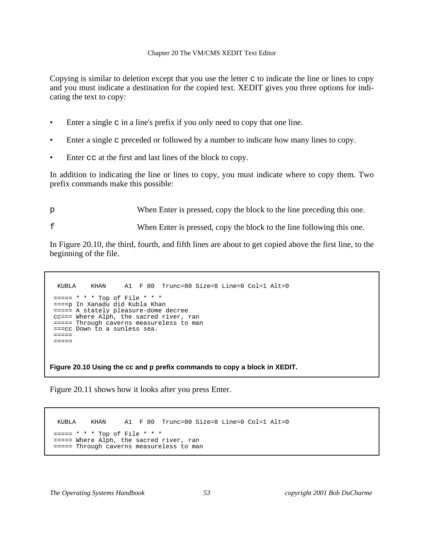Copying is similar to deletion except that you use the letter c to indicate the line or lines to copy and you must indicate a destination for the copied text. XEDIT gives you three options for indicating the text to copy:

- Enter a single c in a line's prefix if you only need to copy that one line.
- Enter a single c preceded or followed by a number to indicate how many lines to copy.
- Enter cc at the first and last lines of the block to copy.

In addition to indicating the line or lines to copy, you must indicate where to copy them. Two prefix commands make this possible:

- p When Enter is pressed, copy the block to the line preceding this one.
- f When Enter is pressed, copy the block to the line following this one.

In Figure 20.10, the third, fourth, and fifth lines are about to get copied above the first line, to the beginning of the file.

 KUBLA KHAN A1 F 80 Trunc=80 Size=8 Line=0 Col=1 Alt=0 ===== \* \* \* Top of File \* \* \* ====p In Xanadu did Kubla Khan ===== A stately pleasure-dome decree cc=== Where Alph, the sacred river, ran ===== Through caverns measureless to man ===cc Down to a sunless sea. =====  $=$ 

**Figure 20.10 Using the cc and p prefix commands to copy a block in XEDIT.**

Figure 20.11 shows how it looks after you press Enter.

 KUBLA KHAN A1 F 80 Trunc=80 Size=8 Line=0 Col=1 Alt=0  $==== * * * * Top of File * * * *$ ===== Where Alph, the sacred river, ran ===== Through caverns measureless to man

*The Operating Systems Handbook 53 copyright 2001 Bob DuCharme*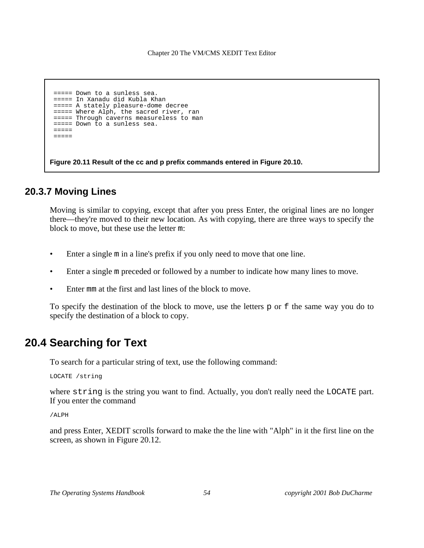===== Down to a sunless sea. ===== In Xanadu did Kubla Khan ===== A stately pleasure-dome decree ===== Where Alph, the sacred river, ran ===== Through caverns measureless to man ===== Down to a sunless sea. ===== ===== **Figure 20.11 Result of the cc and p prefix commands entered in Figure 20.10.**

## **20.3.7 Moving Lines**

Moving is similar to copying, except that after you press Enter, the original lines are no longer there—they're moved to their new location. As with copying, there are three ways to specify the block to move, but these use the letter m:

- Enter a single m in a line's prefix if you only need to move that one line.
- Enter a single m preceded or followed by a number to indicate how many lines to move.
- Enter mm at the first and last lines of the block to move.

To specify the destination of the block to move, use the letters p or f the same way you do to specify the destination of a block to copy.

# **20.4 Searching for Text**

To search for a particular string of text, use the following command:

LOCATE /string

where string is the string you want to find. Actually, you don't really need the LOCATE part. If you enter the command

/ALPH

and press Enter, XEDIT scrolls forward to make the the line with "Alph" in it the first line on the screen, as shown in Figure 20.12.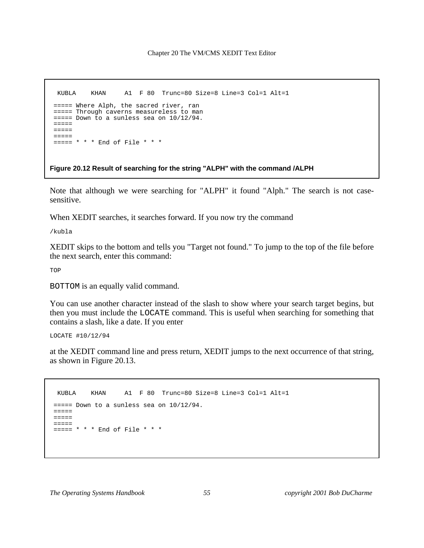```
 KUBLA KHAN A1 F 80 Trunc=80 Size=8 Line=3 Col=1 Alt=1
===== Where Alph, the sacred river, ran
===== Through caverns measureless to man
===== Down to a sunless sea on 10/12/94.
=====
======
==== * * * \text{End of File} * * *
```
**Figure 20.12 Result of searching for the string "ALPH" with the command /ALPH**

Note that although we were searching for "ALPH" it found "Alph." The search is not casesensitive.

When XEDIT searches, it searches forward. If you now try the command

/kubla

XEDIT skips to the bottom and tells you "Target not found." To jump to the top of the file before the next search, enter this command:

TOP

BOTTOM is an equally valid command.

You can use another character instead of the slash to show where your search target begins, but then you must include the LOCATE command. This is useful when searching for something that contains a slash, like a date. If you enter

LOCATE #10/12/94

at the XEDIT command line and press return, XEDIT jumps to the next occurrence of that string, as shown in Figure 20.13.

```
 KUBLA KHAN A1 F 80 Trunc=80 Size=8 Line=3 Col=1 Alt=1
===== Down to a sunless sea on 10/12/94.
=------=====
===== * * * End of File * * *
```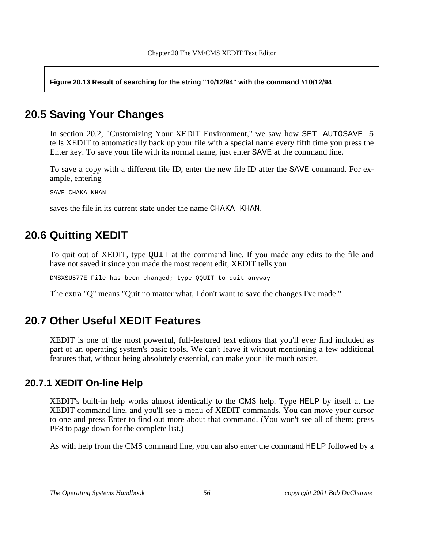**Figure 20.13 Result of searching for the string "10/12/94" with the command #10/12/94**

# **20.5 Saving Your Changes**

In section 20.2, "Customizing Your XEDIT Environment," we saw how SET AUTOSAVE 5 tells XEDIT to automatically back up your file with a special name every fifth time you press the Enter key. To save your file with its normal name, just enter SAVE at the command line.

To save a copy with a different file ID, enter the new file ID after the SAVE command. For example, entering

SAVE CHAKA KHAN

saves the file in its current state under the name CHAKA KHAN.

# **20.6 Quitting XEDIT**

To quit out of XEDIT, type QUIT at the command line. If you made any edits to the file and have not saved it since you made the most recent edit, XEDIT tells you

DMSXSU577E File has been changed; type QQUIT to quit anyway

The extra "Q" means "Quit no matter what, I don't want to save the changes I've made."

# **20.7 Other Useful XEDIT Features**

XEDIT is one of the most powerful, full-featured text editors that you'll ever find included as part of an operating system's basic tools. We can't leave it without mentioning a few additional features that, without being absolutely essential, can make your life much easier.

### **20.7.1 XEDIT On-line Help**

XEDIT's built-in help works almost identically to the CMS help. Type HELP by itself at the XEDIT command line, and you'll see a menu of XEDIT commands. You can move your cursor to one and press Enter to find out more about that command. (You won't see all of them; press PF8 to page down for the complete list.)

As with help from the CMS command line, you can also enter the command HELP followed by a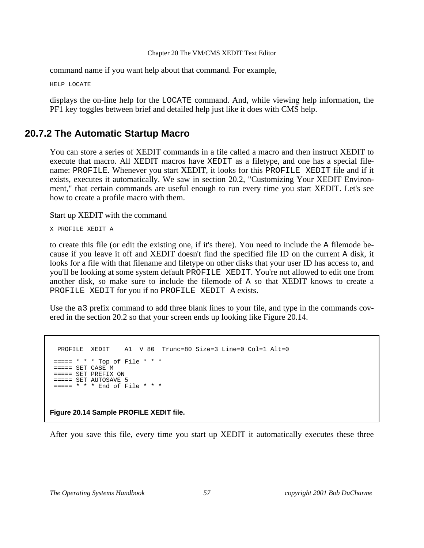command name if you want help about that command. For example,

HELP LOCATE

displays the on-line help for the LOCATE command. And, while viewing help information, the PF1 key toggles between brief and detailed help just like it does with CMS help.

### **20.7.2 The Automatic Startup Macro**

You can store a series of XEDIT commands in a file called a macro and then instruct XEDIT to execute that macro. All XEDIT macros have XEDIT as a filetype, and one has a special filename: PROFILE. Whenever you start XEDIT, it looks for this PROFILE XEDIT file and if it exists, executes it automatically. We saw in section 20.2, "Customizing Your XEDIT Environment," that certain commands are useful enough to run every time you start XEDIT. Let's see how to create a profile macro with them.

Start up XEDIT with the command

X PROFILE XEDIT A

to create this file (or edit the existing one, if it's there). You need to include the A filemode because if you leave it off and XEDIT doesn't find the specified file ID on the current A disk, it looks for a file with that filename and filetype on other disks that your user ID has access to, and you'll be looking at some system default PROFILE XEDIT. You're not allowed to edit one from another disk, so make sure to include the filemode of A so that XEDIT knows to create a PROFILE XEDIT for you if no PROFILE XEDIT A exists.

Use the a3 prefix command to add three blank lines to your file, and type in the commands covered in the section 20.2 so that your screen ends up looking like Figure 20.14.

 PROFILE XEDIT A1 V 80 Trunc=80 Size=3 Line=0 Col=1 Alt=0  $==== * * * * Top of File * * * *$  $====$  SET CASE M ===== SET PREFIX ON ===== SET AUTOSAVE 5 ===== \* \* \* End of File \* \* \* **Figure 20.14 Sample PROFILE XEDIT file.**

After you save this file, every time you start up XEDIT it automatically executes these three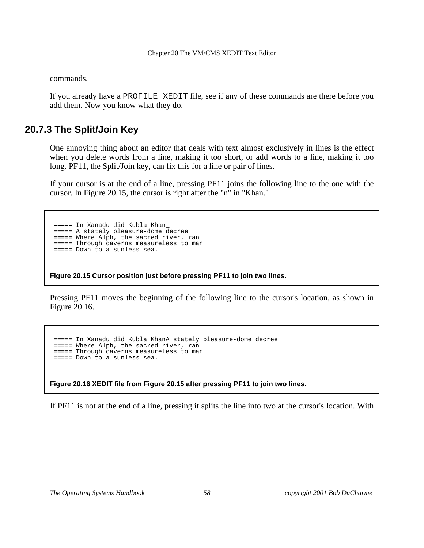commands.

If you already have a PROFILE XEDIT file, see if any of these commands are there before you add them. Now you know what they do.

### **20.7.3 The Split/Join Key**

One annoying thing about an editor that deals with text almost exclusively in lines is the effect when you delete words from a line, making it too short, or add words to a line, making it too long. PF11, the Split/Join key, can fix this for a line or pair of lines.

If your cursor is at the end of a line, pressing PF11 joins the following line to the one with the cursor. In Figure 20.15, the cursor is right after the "n" in "Khan."

===== In Xanadu did Kubla Khan**\_** ===== A stately pleasure-dome decree ===== Where Alph, the sacred river, ran ===== Through caverns measureless to man ===== Down to a sunless sea.

**Figure 20.15 Cursor position just before pressing PF11 to join two lines.**

Pressing PF11 moves the beginning of the following line to the cursor's location, as shown in Figure 20.16.

```
===== In Xanadu did Kubla KhanA stately pleasure-dome decree
===== Where Alph, the sacred river, ran
===== Through caverns measureless to man
===== Down to a sunless sea.
```
**Figure 20.16 XEDIT file from Figure 20.15 after pressing PF11 to join two lines.**

If PF11 is not at the end of a line, pressing it splits the line into two at the cursor's location. With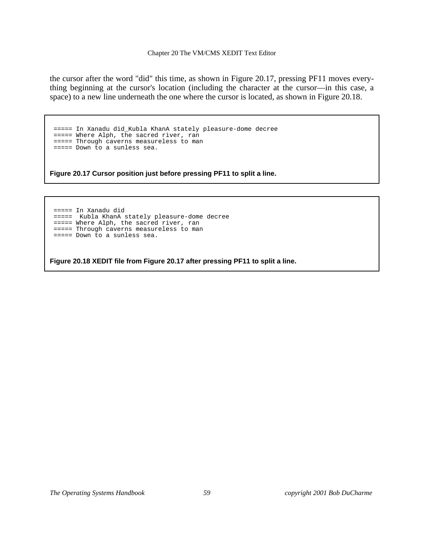the cursor after the word "did" this time, as shown in Figure 20.17, pressing PF11 moves everything beginning at the cursor's location (including the character at the cursor—in this case, a space) to a new line underneath the one where the cursor is located, as shown in Figure 20.18.

===== In Xanadu did**\_**Kubla KhanA stately pleasure-dome decree ====== Where Alph, the sacred river, ran ===== Through caverns measureless to man ===== Down to a sunless sea.

**Figure 20.17 Cursor position just before pressing PF11 to split a line.**

===== In Xanadu did ===== Kubla KhanA stately pleasure-dome decree ===== Where Alph, the sacred river, ran ===== Through caverns measureless to man ===== Down to a sunless sea.

**Figure 20.18 XEDIT file from Figure 20.17 after pressing PF11 to split a line.**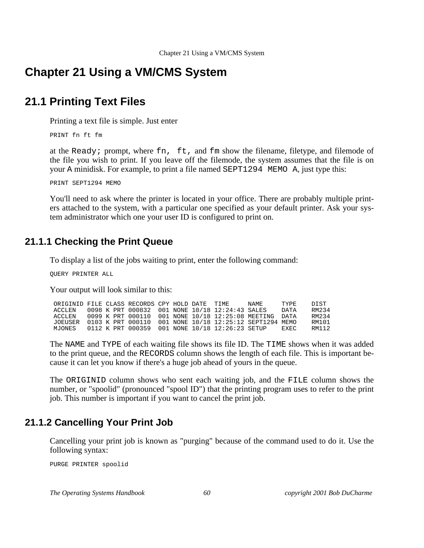# **Chapter 21 Using a VM/CMS System**

# **21.1 Printing Text Files**

Printing a text file is simple. Just enter

PRINT fn ft fm

at the Ready; prompt, where  $fn$ ,  $ft$ , and  $fm$  show the filename, filetype, and filemode of the file you wish to print. If you leave off the filemode, the system assumes that the file is on your A minidisk. For example, to print a file named SEPT1294 MEMO A, just type this:

PRINT SEPT1294 MEMO

You'll need to ask where the printer is located in your office. There are probably multiple printers attached to the system, with a particular one specified as your default printer. Ask your system administrator which one your user ID is configured to print on.

### **21.1.1 Checking the Print Queue**

To display a list of the jobs waiting to print, enter the following command:

QUERY PRINTER ALL

Your output will look similar to this:

| ORIGINID FILE CLASS RECORDS CPY HOLD DATE TIME |  |  |  |                                                   | NAME                                                    | TYPE        | DT ST |
|------------------------------------------------|--|--|--|---------------------------------------------------|---------------------------------------------------------|-------------|-------|
| ACCLEN                                         |  |  |  | 0098 K PRT 000832 001 NONE 10/18 12:24:43 SALES   |                                                         | DATA        | RM234 |
| ACCLEN                                         |  |  |  | 0099 K PRT 000110 001 NONE 10/18 12:25:08 MEETING |                                                         | DATA        | RM234 |
| <b>JOEUSER</b>                                 |  |  |  |                                                   | 0103 K PRT 000110 001 NONE 10/18 12:25:12 SEPT1294 MEMO |             | RM101 |
| MJONES                                         |  |  |  | 0112 K PRT 000359 001 NONE 10/18 12:26:23 SETUP   |                                                         | <b>EXEC</b> | RM112 |

The NAME and TYPE of each waiting file shows its file ID. The TIME shows when it was added to the print queue, and the RECORDS column shows the length of each file. This is important because it can let you know if there's a huge job ahead of yours in the queue.

The ORIGINID column shows who sent each waiting job, and the FILE column shows the number, or "spoolid" (pronounced "spool ID") that the printing program uses to refer to the print job. This number is important if you want to cancel the print job.

## **21.1.2 Cancelling Your Print Job**

Cancelling your print job is known as "purging" because of the command used to do it. Use the following syntax:

PURGE PRINTER spoolid

*The Operating Systems Handbook 60 copyright 2001 Bob DuCharme*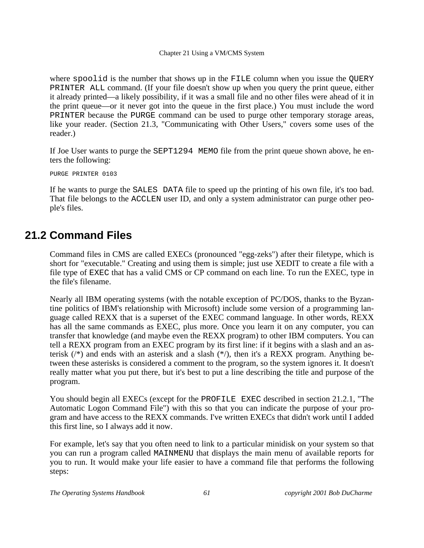where spoolid is the number that shows up in the FILE column when you issue the QUERY PRINTER ALL command. (If your file doesn't show up when you query the print queue, either it already printed—a likely possibility, if it was a small file and no other files were ahead of it in the print queue—or it never got into the queue in the first place.) You must include the word PRINTER because the PURGE command can be used to purge other temporary storage areas, like your reader. (Section 21.3, "Communicating with Other Users," covers some uses of the reader.)

If Joe User wants to purge the SEPT1294 MEMO file from the print queue shown above, he enters the following:

PURGE PRINTER 0103

If he wants to purge the SALES DATA file to speed up the printing of his own file, it's too bad. That file belongs to the ACCLEN user ID, and only a system administrator can purge other people's files.

# **21.2 Command Files**

Command files in CMS are called EXECs (pronounced "egg-zeks") after their filetype, which is short for "executable." Creating and using them is simple; just use XEDIT to create a file with a file type of EXEC that has a valid CMS or CP command on each line. To run the EXEC, type in the file's filename.

Nearly all IBM operating systems (with the notable exception of PC/DOS, thanks to the Byzantine politics of IBM's relationship with Microsoft) include some version of a programming language called REXX that is a superset of the EXEC command language. In other words, REXX has all the same commands as EXEC, plus more. Once you learn it on any computer, you can transfer that knowledge (and maybe even the REXX program) to other IBM computers. You can tell a REXX program from an EXEC program by its first line: if it begins with a slash and an asterisk (/\*) and ends with an asterisk and a slash (\*/), then it's a REXX program. Anything between these asterisks is considered a comment to the program, so the system ignores it. It doesn't really matter what you put there, but it's best to put a line describing the title and purpose of the program.

You should begin all EXECs (except for the PROFILE EXEC described in section 21.2.1, "The Automatic Logon Command File") with this so that you can indicate the purpose of your program and have access to the REXX commands. I've written EXECs that didn't work until I added this first line, so I always add it now.

For example, let's say that you often need to link to a particular minidisk on your system so that you can run a program called MAINMENU that displays the main menu of available reports for you to run. It would make your life easier to have a command file that performs the following steps: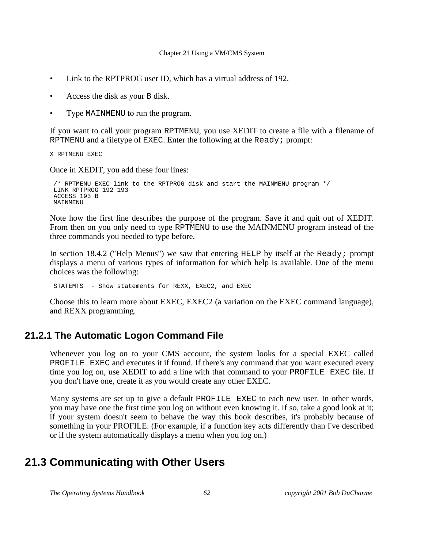- Link to the RPTPROG user ID, which has a virtual address of 192.
- Access the disk as your B disk.
- Type MAINMENU to run the program.

If you want to call your program RPTMENU, you use XEDIT to create a file with a filename of RPTMENU and a filetype of EXEC. Enter the following at the Ready; prompt:

X RPTMENU EXEC

Once in XEDIT, you add these four lines:

```
/* RPTMENU EXEC link to the RPTPROG disk and start the MAINMENU program */
LINK RPTPROG 192 193
ACCESS 193 B
MAINMENU
```
Note how the first line describes the purpose of the program. Save it and quit out of XEDIT. From then on you only need to type RPTMENU to use the MAINMENU program instead of the three commands you needed to type before.

In section 18.4.2 ("Help Menus") we saw that entering HELP by itself at the Ready; prompt displays a menu of various types of information for which help is available. One of the menu choices was the following:

STATEMTS - Show statements for REXX, EXEC2, and EXEC

Choose this to learn more about EXEC, EXEC2 (a variation on the EXEC command language), and REXX programming.

## **21.2.1 The Automatic Logon Command File**

Whenever you log on to your CMS account, the system looks for a special EXEC called PROFILE EXEC and executes it if found. If there's any command that you want executed every time you log on, use XEDIT to add a line with that command to your PROFILE EXEC file. If you don't have one, create it as you would create any other EXEC.

Many systems are set up to give a default PROFILE EXEC to each new user. In other words, you may have one the first time you log on without even knowing it. If so, take a good look at it; if your system doesn't seem to behave the way this book describes, it's probably because of something in your PROFILE. (For example, if a function key acts differently than I've described or if the system automatically displays a menu when you log on.)

# **21.3 Communicating with Other Users**

*The Operating Systems Handbook 62 copyright 2001 Bob DuCharme*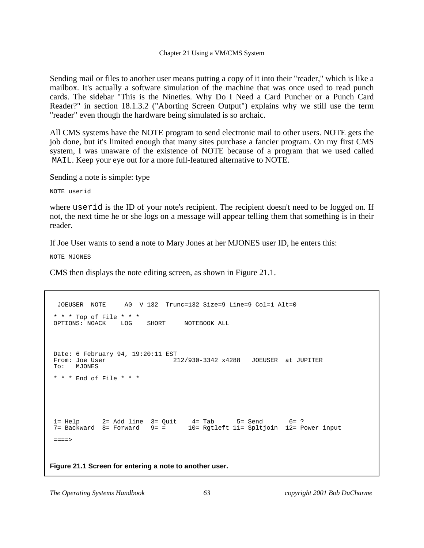Sending mail or files to another user means putting a copy of it into their "reader," which is like a mailbox. It's actually a software simulation of the machine that was once used to read punch cards. The sidebar "This is the Nineties. Why Do I Need a Card Puncher or a Punch Card Reader?" in section 18.1.3.2 ("Aborting Screen Output") explains why we still use the term "reader" even though the hardware being simulated is so archaic.

All CMS systems have the NOTE program to send electronic mail to other users. NOTE gets the job done, but it's limited enough that many sites purchase a fancier program. On my first CMS system, I was unaware of the existence of NOTE because of a program that we used called MAIL. Keep your eye out for a more full-featured alternative to NOTE.

Sending a note is simple: type

NOTE userid

where userid is the ID of your note's recipient. The recipient doesn't need to be logged on. If not, the next time he or she logs on a message will appear telling them that something is in their reader.

If Joe User wants to send a note to Mary Jones at her MJONES user ID, he enters this:

NOTE MJONES

CMS then displays the note editing screen, as shown in Figure 21.1.

```
 JOEUSER NOTE A0 V 132 Trunc=132 Size=9 Line=9 Col=1 Alt=0
 * * * Top of File * * *
OPTIONS: NOACK LOG SHORT NOTEBOOK ALL
Date: 6 February 94, 19:20:11 EST<br>From: Joe User 21
                               From: Joe User 212/930-3342 x4288 JOEUSER at JUPITER
To: MJONES
 * * * End of File * * *
 1= Help 2= Add line 3= Quit 4= Tab 5= Send 6= ?
 7= Backward 8= Forward 9= = 10= Rgtleft 11= Spltjoin 12= Power input
 ====>Figure 21.1 Screen for entering a note to another user.
```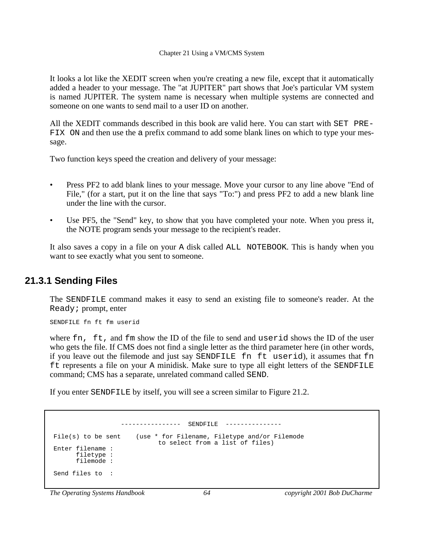It looks a lot like the XEDIT screen when you're creating a new file, except that it automatically added a header to your message. The "at JUPITER" part shows that Joe's particular VM system is named JUPITER. The system name is necessary when multiple systems are connected and someone on one wants to send mail to a user ID on another.

All the XEDIT commands described in this book are valid here. You can start with SET PRE-FIX ON and then use the a prefix command to add some blank lines on which to type your message.

Two function keys speed the creation and delivery of your message:

- Press PF2 to add blank lines to your message. Move your cursor to any line above "End of File," (for a start, put it on the line that says "To:") and press PF2 to add a new blank line under the line with the cursor.
- Use PF5, the "Send" key, to show that you have completed your note. When you press it, the NOTE program sends your message to the recipient's reader.

It also saves a copy in a file on your A disk called ALL NOTEBOOK. This is handy when you want to see exactly what you sent to someone.

# **21.3.1 Sending Files**

The SENDFILE command makes it easy to send an existing file to someone's reader. At the Ready; prompt, enter

SENDFILE fn ft fm userid

where fn, ft, and fm show the ID of the file to send and userid shows the ID of the user who gets the file. If CMS does not find a single letter as the third parameter here (in other words, if you leave out the filemode and just say SENDFILE fn ft userid), it assumes that fn ft represents a file on your A minidisk. Make sure to type all eight letters of the SENDFILE command; CMS has a separate, unrelated command called SEND.

If you enter SENDFILE by itself, you will see a screen similar to Figure 21.2.

```
 ---------------- SENDFILE ---------------
File(s) to be sent (use * for Filename, Filetype and/or Filemode
                           to select from a list of files)
Enter filename :
       filetype :
      filemode :
Send files to :
```
*The Operating Systems Handbook 64 copyright 2001 Bob DuCharme*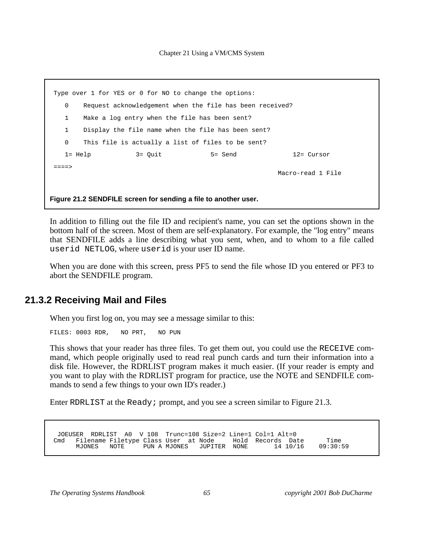

In addition to filling out the file ID and recipient's name, you can set the options shown in the bottom half of the screen. Most of them are self-explanatory. For example, the "log entry" means that SENDFILE adds a line describing what you sent, when, and to whom to a file called userid NETLOG, where userid is your user ID name.

When you are done with this screen, press PF5 to send the file whose ID you entered or PF3 to abort the SENDFILE program.

## **21.3.2 Receiving Mail and Files**

When you first log on, you may see a message similar to this:

FILES: 0003 RDR, NO PRT, NO PUN

This shows that your reader has three files. To get them out, you could use the RECEIVE command, which people originally used to read real punch cards and turn their information into a disk file. However, the RDRLIST program makes it much easier. (If your reader is empty and you want to play with the RDRLIST program for practice, use the NOTE and SENDFILE commands to send a few things to your own ID's reader.)

Enter RDRLIST at the Ready; prompt, and you see a screen similar to Figure 21.3.

 JOEUSER RDRLIST A0 V 108 Trunc=108 Size=2 Line=1 Col=1 Alt=0 Cmd Filename Filetype Class User at Node Hold Records Date Time<br>MJONES NOTE PUNA MJONES JUPITER NONE 14 10/16 09:30:59 MJONES NOTE PUN A MJONES JUPITER NONE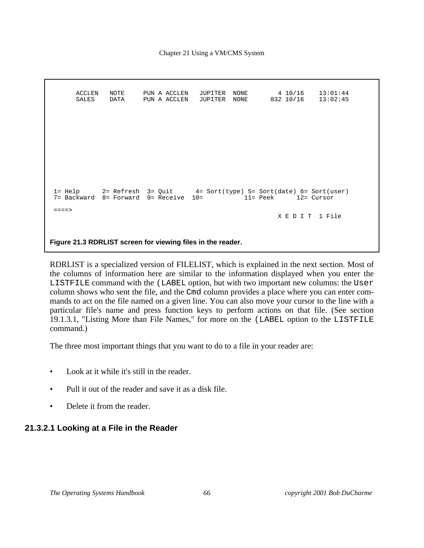ACCLEN NOTE PUNA ACCLEN JUPITER NONE 4 10/16 13:01:44<br>SALES DATA PUNA ACCLEN JUPITER NONE 832 10/16 13:02:45 SALES DATA PUN A ACCLEN JUPITER NONE 1= Help 2= Refresh 3= Quit 4= Sort(type) 5= Sort(date) 6= Sort(user) 7= Backward 8= Forward 9= Receive 10= 11= Peek 12= Cursor  $====>$ X E D I T 1 File

**Figure 21.3 RDRLIST screen for viewing files in the reader.**

RDRLIST is a specialized version of FILELIST, which is explained in the next section. Most of the columns of information here are similar to the information displayed when you enter the LISTFILE command with the (LABEL option, but with two important new columns: the User column shows who sent the file, and the Cmd column provides a place where you can enter commands to act on the file named on a given line. You can also move your cursor to the line with a particular file's name and press function keys to perform actions on that file. (See section 19.1.3.1, "Listing More than File Names," for more on the (LABEL option to the LISTFILE command.)

The three most important things that you want to do to a file in your reader are:

- Look at it while it's still in the reader.
- Pull it out of the reader and save it as a disk file.
- Delete it from the reader.

## **21.3.2.1 Looking at a File in the Reader**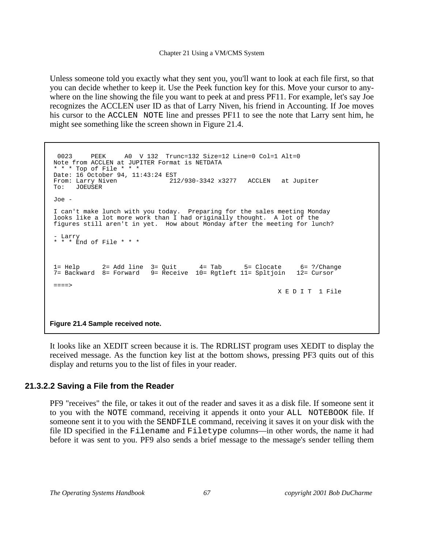Unless someone told you exactly what they sent you, you'll want to look at each file first, so that you can decide whether to keep it. Use the Peek function key for this. Move your cursor to anywhere on the line showing the file you want to peek at and press PF11. For example, let's say Joe recognizes the ACCLEN user ID as that of Larry Niven, his friend in Accounting. If Joe moves his cursor to the ACCLEN NOTE line and presses PF11 to see the note that Larry sent him, he might see something like the screen shown in Figure 21.4.

```
 0023 PEEK A0 V 132 Trunc=132 Size=12 Line=0 Col=1 Alt=0
Note from ACCLEN at JUPITER Format is NETDATA
 * * * Top of File * * *
Date: 16 October 94, 11:43:24 EST<br>From: Larry Niven 212
                              212/930-3342 x3277 ACCLEN at Jupiter
To: JOEUSER
Joe -
I can't make lunch with you today. Preparing for the sales meeting Monday
 looks like a lot more work than I had originally thought. A lot of the
figures still aren't in yet. How about Monday after the meeting for lunch?
 - Larry
 * * * End of File * * *
 1= Help 2= Add line 3= Quit 4= Tab 5= Clocate 6= ?/Change
 7= Backward 8= Forward 9= Receive 10= Rgtleft 11= Spltjoin 12= Cursor
 ==-=> X E D I T 1 File
Figure 21.4 Sample received note.
```
It looks like an XEDIT screen because it is. The RDRLIST program uses XEDIT to display the received message. As the function key list at the bottom shows, pressing PF3 quits out of this display and returns you to the list of files in your reader.

### **21.3.2.2 Saving a File from the Reader**

PF9 "receives" the file, or takes it out of the reader and saves it as a disk file. If someone sent it to you with the NOTE command, receiving it appends it onto your ALL NOTEBOOK file. If someone sent it to you with the SENDFILE command, receiving it saves it on your disk with the file ID specified in the Filename and Filetype columns—in other words, the name it had before it was sent to you. PF9 also sends a brief message to the message's sender telling them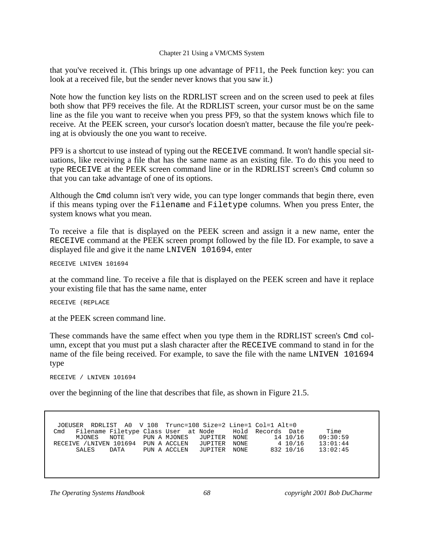#### Chapter 21 Using a VM/CMS System

that you've received it. (This brings up one advantage of PF11, the Peek function key: you can look at a received file, but the sender never knows that you saw it.)

Note how the function key lists on the RDRLIST screen and on the screen used to peek at files both show that PF9 receives the file. At the RDRLIST screen, your cursor must be on the same line as the file you want to receive when you press PF9, so that the system knows which file to receive. At the PEEK screen, your cursor's location doesn't matter, because the file you're peeking at is obviously the one you want to receive.

PF9 is a shortcut to use instead of typing out the RECEIVE command. It won't handle special situations, like receiving a file that has the same name as an existing file. To do this you need to type RECEIVE at the PEEK screen command line or in the RDRLIST screen's Cmd column so that you can take advantage of one of its options.

Although the Cmd column isn't very wide, you can type longer commands that begin there, even if this means typing over the Filename and Filetype columns. When you press Enter, the system knows what you mean.

To receive a file that is displayed on the PEEK screen and assign it a new name, enter the RECEIVE command at the PEEK screen prompt followed by the file ID. For example, to save a displayed file and give it the name LNIVEN 101694, enter

RECEIVE LNIVEN 101694

at the command line. To receive a file that is displayed on the PEEK screen and have it replace your existing file that has the same name, enter

RECEIVE (REPLACE

at the PEEK screen command line.

These commands have the same effect when you type them in the RDRLIST screen's Cmd column, except that you must put a slash character after the RECEIVE command to stand in for the name of the file being received. For example, to save the file with the name LNIVEN 101694 type

RECEIVE / LNIVEN 101694

over the beginning of the line that describes that file, as shown in Figure 21.5.

 JOEUSER RDRLIST A0 V 108 Trunc=108 Size=2 Line=1 Col=1 Alt=0 Filename Filetype Class User at Node Hold Records Date Time<br>MJONES NOTE PUNAMJONES JUPITER NONE 1410/16 09:30:59 MJONES NOTE PUNA MJONES JUPITER NONE 14 10/16 09:30:59<br>E /LNIVEN 101694 PUNA ACCLEN JUPITER NONE 4 10/16 13:01:44 RECEIVE /LNIVEN 101694 PUN A ACCLEN JUPITER NONE 4 10/16 13:01:44<br>SALES DATA PUN A ACCLEN JUPITER NONE 832 10/16 13:02:45 PUN A ACCLEN JUPITER NONE

*The Operating Systems Handbook 68 copyright 2001 Bob DuCharme*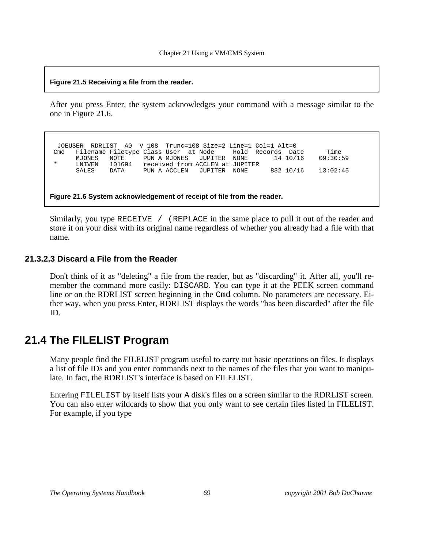#### **Figure 21.5 Receiving a file from the reader.**

After you press Enter, the system acknowledges your command with a message similar to the one in Figure 21.6.

|         |       | JOEUSER RDRLIST A0 V 108 Trunc=108 Size=2 Line=1 Col=1 Alt=0 |  |  |                    |
|---------|-------|--------------------------------------------------------------|--|--|--------------------|
|         |       | Cmd Filename Filetype Class User at Node Hold Records Date   |  |  | Time               |
|         |       | MJONES NOTE PUN A MJONES JUPITER NONE 14 10/16 09:30:59      |  |  |                    |
| $\star$ |       | LNIVEN 101694 received from ACCLEN at JUPITER                |  |  |                    |
|         | SALES | DATA – PUN A ACCLEN – JUPITER – NONE                         |  |  | 832 10/16 13:02:45 |
|         |       |                                                              |  |  |                    |
|         |       |                                                              |  |  |                    |

**Figure 21.6 System acknowledgement of receipt of file from the reader.**

Similarly, you type RECEIVE / (REPLACE in the same place to pull it out of the reader and store it on your disk with its original name regardless of whether you already had a file with that name.

#### **21.3.2.3 Discard a File from the Reader**

Don't think of it as "deleting" a file from the reader, but as "discarding" it. After all, you'll remember the command more easily: DISCARD. You can type it at the PEEK screen command line or on the RDRLIST screen beginning in the Cmd column. No parameters are necessary. Either way, when you press Enter, RDRLIST displays the words "has been discarded" after the file ID.

# **21.4 The FILELIST Program**

Many people find the FILELIST program useful to carry out basic operations on files. It displays a list of file IDs and you enter commands next to the names of the files that you want to manipulate. In fact, the RDRLIST's interface is based on FILELIST.

Entering FILELIST by itself lists your A disk's files on a screen similar to the RDRLIST screen. You can also enter wildcards to show that you only want to see certain files listed in FILELIST. For example, if you type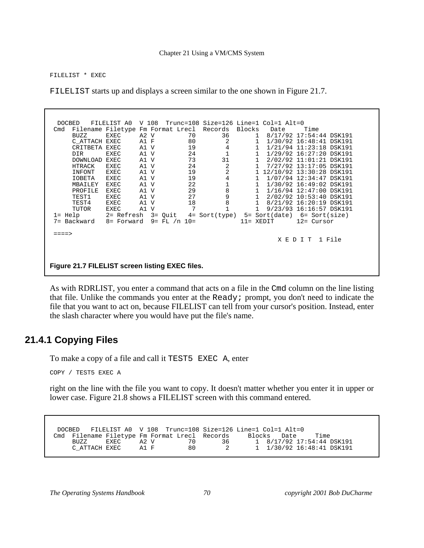FILELIST \* EXEC

FILELIST starts up and displays a screen similar to the one shown in Figure 21.7.

| <b>DOCBED</b> |                                                 | FILELIST AO |      |  |                  |    | V 108 Trunc=108 Size=126 Line=1 Col=1 Alt=0 |           |              |      |                                   |  |
|---------------|-------------------------------------------------|-------------|------|--|------------------|----|---------------------------------------------|-----------|--------------|------|-----------------------------------|--|
| Cmd           | Filename Filetype Fm Format Lrecl               |             |      |  |                  |    | Records                                     | Blocks    |              | Date | Time                              |  |
|               | <b>BUZZ</b>                                     | <b>EXEC</b> | A2 V |  |                  | 70 | 36                                          |           | 1            |      | 8/17/92 17:54:44 DSK191           |  |
|               | C ATTACH EXEC                                   |             | A1 F |  |                  | 80 | 2                                           |           | $\mathbf{1}$ |      | 1/30/92 16:48:41 DSK191           |  |
|               | CRITBETA EXEC                                   |             | A1 V |  |                  | 19 | 4                                           |           | 1            |      | 1/21/94 11:23:18 DSK191           |  |
|               | <b>DIR</b>                                      | <b>EXEC</b> | A1 V |  |                  | 24 | $\mathbf{1}$                                |           | 1            |      | 1/29/92 16:27:20 DSK191           |  |
|               | DOWNLOAD EXEC                                   |             | A1 V |  |                  | 73 | 31                                          |           | 1            |      | 2/02/92 11:01:21 DSK191           |  |
|               | HTRACK                                          | EXEC        | A1 V |  |                  | 24 | 2                                           |           | 1            |      | 7/27/92 13:17:05 DSK191           |  |
|               | INFONT                                          | EXEC        | A1 V |  |                  | 19 | $\overline{\mathbf{c}}$                     |           |              |      | 1 12/10/92 13:30:28 DSK191        |  |
|               | <b>IOBETA</b>                                   | EXEC        | A1 V |  |                  | 19 | $\overline{4}$                              |           | $\mathbf{1}$ |      | 1/07/94 12:34:47 DSK191           |  |
|               | MBAILEY                                         | <b>EXEC</b> | A1 V |  |                  | 22 | $\mathbf{1}$                                |           | $\mathbf{1}$ |      | 1/30/92 16:49:02 DSK191           |  |
|               | PROFILE                                         | EXEC        | A1 V |  |                  | 29 | 8                                           |           | 1            |      | 1/16/94 12:47:00 DSK191           |  |
|               | TEST1                                           | <b>EXEC</b> | A1 V |  |                  | 27 | 9                                           |           |              |      | 1 2/02/92 10:53:40 DSK191         |  |
|               | TEST4                                           | EXEC        | A1 V |  |                  | 18 | 8                                           |           |              |      | 1 8/21/92 16:20:19 DSK191         |  |
|               | TUTOR                                           | EXEC        | A1 V |  |                  | 7  | $\mathbf{1}$                                |           | 1            |      | 9/23/93 16:16:57 DSK191           |  |
| $l = Help$    |                                                 |             |      |  |                  |    | 2= Refresh 3= Quit 4= Sort(type)            |           |              |      | $5 = Sort(data)$ $6 = Sort(size)$ |  |
| $7 =$         | Backward                                        | 8= Forward  |      |  | $9 = FL /n 10 =$ |    |                                             | 11= XEDIT |              |      | $12 =$ Cursor                     |  |
|               |                                                 |             |      |  |                  |    |                                             |           |              |      |                                   |  |
| ====>         |                                                 |             |      |  |                  |    |                                             |           |              |      |                                   |  |
|               |                                                 |             |      |  |                  |    |                                             |           |              |      | X E D I T 1 File                  |  |
|               |                                                 |             |      |  |                  |    |                                             |           |              |      |                                   |  |
|               |                                                 |             |      |  |                  |    |                                             |           |              |      |                                   |  |
|               |                                                 |             |      |  |                  |    |                                             |           |              |      |                                   |  |
|               | Figure 21.7 FILELIST screen listing EXEC files. |             |      |  |                  |    |                                             |           |              |      |                                   |  |

As with RDRLIST, you enter a command that acts on a file in the Cmd column on the line listing that file. Unlike the commands you enter at the Ready; prompt, you don't need to indicate the file that you want to act on, because FILELIST can tell from your cursor's position. Instead, enter the slash character where you would have put the file's name.

#### **21.4.1 Copying Files**

To make a copy of a file and call it TEST5 EXEC A, enter

COPY / TEST5 EXEC A

right on the line with the file you want to copy. It doesn't matter whether you enter it in upper or lower case. Figure 21.8 shows a FILELIST screen with this command entered.

 DOCBED FILELIST A0 V 108 Trunc=108 Size=126 Line=1 Col=1 Alt=0 Cmd Filename Filetype Fm Format Lrecl Records<br>BUZZ EXEC A2 V 70 36 1 8/17/92 17:54:44 BUZZ EXEC A2 V 70 36 1 8/17/92 17:54:44 DSK191 CATTACH EXEC A1 F 80 2 1 1/30/92 16:48:41 DSK191 1 1/30/92 16:48:41 DSK191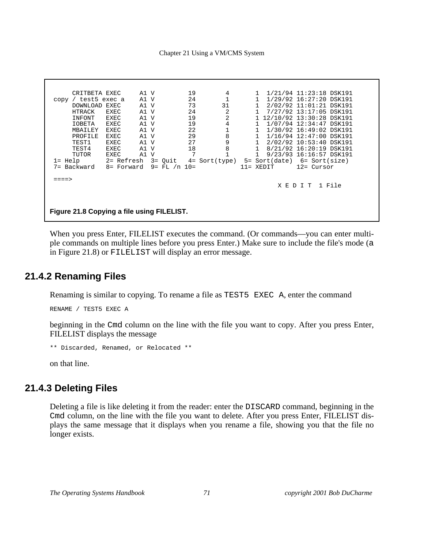|                                            | CRITBETA EXEC  | A1 V              | 19               | 4                |              |         | 1/21/94 11:23:18 DSK191           |        |
|--------------------------------------------|----------------|-------------------|------------------|------------------|--------------|---------|-----------------------------------|--------|
| copy                                       | / test5 exec a | A1 V              | 24               | 1                |              |         | 1/29/92 16:27:20 DSK191           |        |
| DOWNLOAD                                   | EXEC           | A1 V              | 73               | 31               |              |         | 2/02/92 11:01:21 DSK191           |        |
| HTRACK                                     | EXEC           | A1 V              | 24               | 2                |              | 7/27/92 | 13:17:05 DSK191                   |        |
| INFONT                                     | EXEC           | A1 V              | 19               | 2                |              |         | 12/10/92 13:30:28 DSK191          |        |
| <b>IOBETA</b>                              | EXEC           | A1 V              | 19               | $\overline{4}$   |              |         | 1/07/94 12:34:47 DSK191           |        |
| MBAILEY                                    | EXEC           | A1 V              | 22               | $\mathbf 1$      |              |         | 1/30/92 16:49:02 DSK191           |        |
| PROFILE                                    | <b>EXEC</b>    | A1 V              | 29               | 8                |              |         | $1/16/94$ $12:47:00$              | DSK191 |
| TEST1                                      | EXEC           | A1 V              | 27               | 9                |              |         | 2/02/92 10:53:40 DSK191           |        |
| TEST4                                      | EXEC           | A1 V              | 18               | 8                | $\mathbf{1}$ | 8/21/92 | 16:20:19 DSK191                   |        |
| TUTOR                                      | EXEC           | A1<br>$\mathbf v$ | 7                |                  |              | 9/23/93 | 16:16:57 DSK191                   |        |
| $l = Help$                                 | 2= Refresh     |                   | $3 =$ Quit       | $4 = Sort(type)$ |              |         | $5 = Sort(data)$ $6 = Sort(size)$ |        |
| Backward<br>$7 =$                          | 8= Forward     |                   | $9 = FL /n 10 =$ |                  | $11 =$       | XEDIT   | 12= Cursor                        |        |
|                                            |                |                   |                  |                  |              |         |                                   |        |
| ====>                                      |                |                   |                  |                  |              |         |                                   |        |
|                                            |                |                   |                  |                  |              |         | 1 File<br>XEDIT                   |        |
|                                            |                |                   |                  |                  |              |         |                                   |        |
|                                            |                |                   |                  |                  |              |         |                                   |        |
|                                            |                |                   |                  |                  |              |         |                                   |        |
| Figure 21.8 Copying a file using FILELIST. |                |                   |                  |                  |              |         |                                   |        |

When you press Enter, FILELIST executes the command. (Or commands—you can enter multiple commands on multiple lines before you press Enter.) Make sure to include the file's mode (a in Figure 21.8) or FILELIST will display an error message.

## **21.4.2 Renaming Files**

Renaming is similar to copying. To rename a file as TEST5 EXEC A, enter the command

RENAME / TEST5 EXEC A

beginning in the Cmd column on the line with the file you want to copy. After you press Enter, FILELIST displays the message

\*\* Discarded, Renamed, or Relocated \*\*

on that line.

## **21.4.3 Deleting Files**

Deleting a file is like deleting it from the reader: enter the DISCARD command, beginning in the Cmd column, on the line with the file you want to delete. After you press Enter, FILELIST displays the same message that it displays when you rename a file, showing you that the file no longer exists.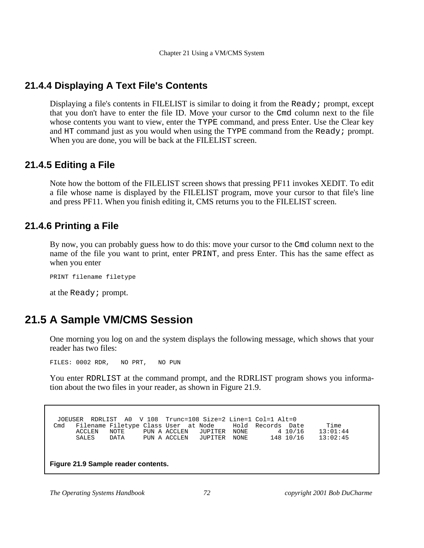## **21.4.4 Displaying A Text File's Contents**

Displaying a file's contents in FILELIST is similar to doing it from the Ready; prompt, except that you don't have to enter the file ID. Move your cursor to the Cmd column next to the file whose contents you want to view, enter the TYPE command, and press Enter. Use the Clear key and HT command just as you would when using the TYPE command from the Ready; prompt. When you are done, you will be back at the FILELIST screen.

#### **21.4.5 Editing a File**

Note how the bottom of the FILELIST screen shows that pressing PF11 invokes XEDIT. To edit a file whose name is displayed by the FILELIST program, move your cursor to that file's line and press PF11. When you finish editing it, CMS returns you to the FILELIST screen.

## **21.4.6 Printing a File**

By now, you can probably guess how to do this: move your cursor to the Cmd column next to the name of the file you want to print, enter PRINT, and press Enter. This has the same effect as when you enter

PRINT filename filetype

at the Ready; prompt.

# **21.5 A Sample VM/CMS Session**

One morning you log on and the system displays the following message, which shows that your reader has two files:

FILES: 0002 RDR, NO PRT, NO PUN

You enter RDRLIST at the command prompt, and the RDRLIST program shows you information about the two files in your reader, as shown in Figure 21.9.

| Cmd                                                        | JOEUSER RDRLIST A0 V 108 Trunc=108 Size=2 Line=1 Col=1 Alt=0<br>Filename Filetype Class User at Node    Hold Records Date<br>ACCLEN | NOTE |  | PUN A ACCLEN | JUPITER | NONE |  | 4 10/16 | Time<br>13:01:44<br>13:02:45 |
|------------------------------------------------------------|-------------------------------------------------------------------------------------------------------------------------------------|------|--|--------------|---------|------|--|---------|------------------------------|
| 148 10/16<br>PUN A ACCLEN JUPITER<br>SALES<br>NONE<br>DATA |                                                                                                                                     |      |  |              |         |      |  |         |                              |
|                                                            |                                                                                                                                     |      |  |              |         |      |  |         |                              |
| Figure 21.9 Sample reader contents.                        |                                                                                                                                     |      |  |              |         |      |  |         |                              |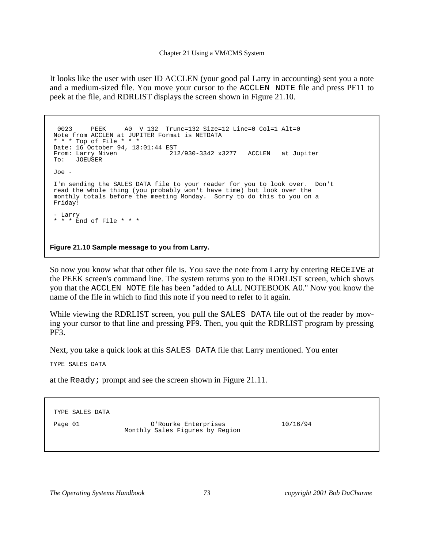It looks like the user with user ID ACCLEN (your good pal Larry in accounting) sent you a note and a medium-sized file. You move your cursor to the ACCLEN NOTE file and press PF11 to peek at the file, and RDRLIST displays the screen shown in Figure 21.10.

 0023 PEEK A0 V 132 Trunc=132 Size=12 Line=0 Col=1 Alt=0 Note from ACCLEN at JUPITER Format is NETDATA \* \* \* Top of File \* \* \* Date: 16 October 94, 13:01:44 EST<br>From: Larry Niven 212 212/930-3342 x3277 ACCLEN at Jupiter To: JOEUSER Joe - I'm sending the SALES DATA file to your reader for you to look over. Don't read the whole thing (you probably won't have time) but look over the monthly totals before the meeting Monday. Sorry to do this to you on a Friday! - Larry \* \* \* End of File \* \* \*

**Figure 21.10 Sample message to you from Larry.**

So now you know what that other file is. You save the note from Larry by entering RECEIVE at the PEEK screen's command line. The system returns you to the RDRLIST screen, which shows you that the ACCLEN NOTE file has been "added to ALL NOTEBOOK A0." Now you know the name of the file in which to find this note if you need to refer to it again.

While viewing the RDRLIST screen, you pull the SALES DATA file out of the reader by moving your cursor to that line and pressing PF9. Then, you quit the RDRLIST program by pressing PF3.

Next, you take a quick look at this SALES DATA file that Larry mentioned. You enter

TYPE SALES DATA

at the Ready; prompt and see the screen shown in Figure 21.11.

| TYPE SALES DATA |                                                         |          |
|-----------------|---------------------------------------------------------|----------|
| Page 01         | O'Rourke Enterprises<br>Monthly Sales Figures by Region | 10/16/94 |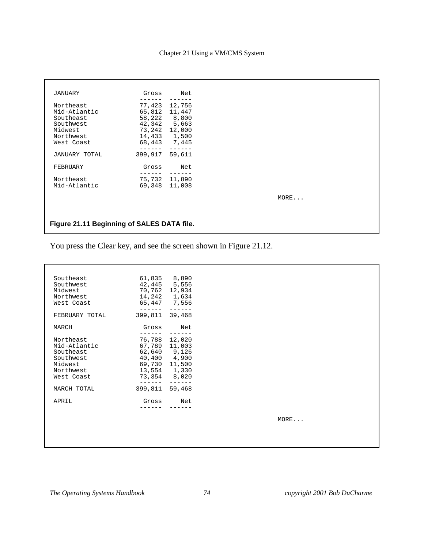| 77.423<br>12,756<br>Northeast<br>65,812<br>Mid-Atlantic<br>11,447<br>58,222 8,800<br>Southeast<br>42,342 5,663<br>Southwest<br>Midwest<br>73,242<br>12,000<br>14,433<br>1,500<br>Northwest<br>68,443<br>7,445<br>West Coast<br>399,917<br>59,611<br>JANUARY TOTAL<br>FEBRUARY<br>Net.<br>Gross<br>75,732<br>11,890<br>11,008 | JANUARY                   | Gross  | Net. |
|------------------------------------------------------------------------------------------------------------------------------------------------------------------------------------------------------------------------------------------------------------------------------------------------------------------------------|---------------------------|--------|------|
|                                                                                                                                                                                                                                                                                                                              |                           |        |      |
|                                                                                                                                                                                                                                                                                                                              |                           |        |      |
|                                                                                                                                                                                                                                                                                                                              |                           |        |      |
|                                                                                                                                                                                                                                                                                                                              | Northeast<br>Mid-Atlantic | 69,348 |      |
|                                                                                                                                                                                                                                                                                                                              |                           |        |      |

**Figure 21.11 Beginning of SALES DATA file.**

You press the Clear key, and see the screen shown in Figure 21.12.

| Southeast<br>Southwest<br>Midwest<br>Northwest<br>West Coast<br>FEBRUARY TOTAL                           | 61,835<br>42,445<br>70,762<br>14,242<br>65,447<br>399,811                                       | 8,890<br>5,556<br>12,934<br>1,634<br>7,556<br>39,468 |
|----------------------------------------------------------------------------------------------------------|-------------------------------------------------------------------------------------------------|------------------------------------------------------|
| MARCH                                                                                                    | Gross                                                                                           | Net                                                  |
| Northeast<br>Mid-Atlantic<br>Southeast<br>Southwest<br>Midwest<br>Northwest<br>West Coast<br>MARCH TOTAL | 76,788<br>67,789<br>62,640 9,126<br>40,400 4,900<br>69,730<br>13,554<br>73,354 8,020<br>399,811 | 12,020<br>11,003<br>11,500<br>1,330<br>59,468        |
|                                                                                                          |                                                                                                 |                                                      |
| APRIL                                                                                                    | Gross                                                                                           | Net                                                  |

MORE...

MORE...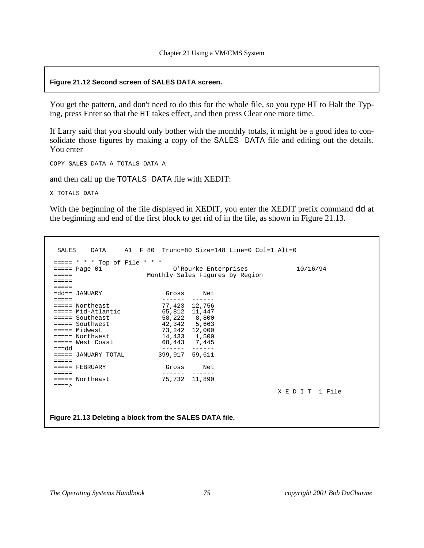#### **Figure 21.12 Second screen of SALES DATA screen.**

You get the pattern, and don't need to do this for the whole file, so you type HT to Halt the Typing, press Enter so that the HT takes effect, and then press Clear one more time.

If Larry said that you should only bother with the monthly totals, it might be a good idea to consolidate those figures by making a copy of the SALES DATA file and editing out the details. You enter

```
COPY SALES DATA A TOTALS DATA A
```
and then call up the TOTALS DATA file with XEDIT:

X TOTALS DATA

With the beginning of the file displayed in XEDIT, you enter the XEDIT prefix command dd at the beginning and end of the first block to get rid of in the file, as shown in Figure 21.13.

 SALES DATA A1 F 80 Trunc=80 Size=148 Line=0 Col=1 Alt=0 ===== \* \* \* Top of File \* \* \* ===== Page 01 O'Rourke Enterprises 10/16/94 ===== Monthly Sales Figures by Region ===== ===== =dd== JANUARY Gross Net  $==== =$  Northeast 77,423 12,756 ===== Northeast 77,423 12,756 ===== Mid-Atlantic 65,812 11,447 ===== Southeast 58,222 8,800 ===== Southwest 42,342 5,663 ====== Notcheast 77,423 12,950<br>
===== Mid-Atlantic 65,812 11,447<br>
==== Southeast 58,222 8,800<br>
===== Midwest 42,342 5,663<br>
===== Morthwest 73,242 12,000<br>
===== West Coast 68,443 7,445 ===== Northwest 14,433 1,500 ===== West Coast 68,443 7,445 ===dd ------ ------ ===== JANUARY TOTAL 399,917 59,611 ===== ===== FEBRUARY Gross Net ===== ------ ------ ===== Northeast 75,732 11,890 ====> X E D I T 1 File **Figure 21.13 Deleting a block from the SALES DATA file.**